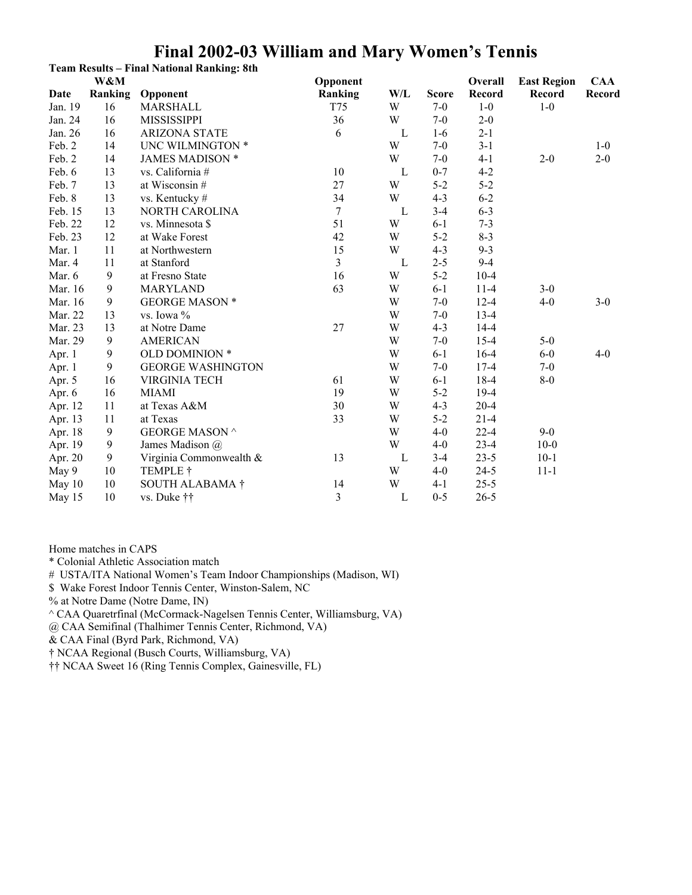|         |         | <b>Team Results - Final National Ranking: 8th</b> |                         |     |              |          |                    |         |
|---------|---------|---------------------------------------------------|-------------------------|-----|--------------|----------|--------------------|---------|
|         | W&M     |                                                   | Opponent                |     |              | Overall  | <b>East Region</b> | CAA     |
| Date    | Ranking | Opponent                                          | Ranking                 | W/L | <b>Score</b> | Record   | Record             | Record  |
| Jan. 19 | 16      | <b>MARSHALL</b>                                   | T75                     | W   | $7-0$        | $1-0$    | $1-0$              |         |
| Jan. 24 | 16      | <b>MISSISSIPPI</b>                                | 36                      | W   | $7-0$        | $2 - 0$  |                    |         |
| Jan. 26 | 16      | <b>ARIZONA STATE</b>                              | 6                       | L   | $1-6$        | $2 - 1$  |                    |         |
| Feb. 2  | 14      | UNC WILMINGTON *                                  |                         | W   | $7 - 0$      | $3 - 1$  |                    | $1-0$   |
| Feb. 2  | 14      | <b>JAMES MADISON *</b>                            |                         | W   | $7 - 0$      | $4 - 1$  | $2 - 0$            | $2 - 0$ |
| Feb. 6  | 13      | vs. California #                                  | 10                      | L   | $0 - 7$      | $4 - 2$  |                    |         |
| Feb. 7  | 13      | at Wisconsin #                                    | 27                      | W   | $5 - 2$      | $5 - 2$  |                    |         |
| Feb. 8  | 13      | vs. Kentucky#                                     | 34                      | W   | $4 - 3$      | $6 - 2$  |                    |         |
| Feb. 15 | 13      | NORTH CAROLINA                                    | 7                       | L   | $3 - 4$      | $6 - 3$  |                    |         |
| Feb. 22 | 12      | vs. Minnesota \$                                  | 51                      | W   | $6 - 1$      | $7 - 3$  |                    |         |
| Feb. 23 | 12      | at Wake Forest                                    | 42                      | W   | $5 - 2$      | $8 - 3$  |                    |         |
| Mar. 1  | 11      | at Northwestern                                   | 15                      | W   | $4 - 3$      | $9 - 3$  |                    |         |
| Mar. 4  | 11      | at Stanford                                       | $\overline{3}$          | L   | $2 - 5$      | $9 - 4$  |                    |         |
| Mar. 6  | 9       | at Fresno State                                   | 16                      | W   | $5 - 2$      | $10 - 4$ |                    |         |
| Mar. 16 | 9       | <b>MARYLAND</b>                                   | 63                      | W   | $6 - 1$      | $11-4$   | $3 - 0$            |         |
| Mar. 16 | 9       | <b>GEORGE MASON *</b>                             |                         | W   | $7 - 0$      | $12 - 4$ | $4 - 0$            | $3-0$   |
| Mar. 22 | 13      | vs. Iowa %                                        |                         | W   | $7 - 0$      | $13-4$   |                    |         |
| Mar. 23 | 13      | at Notre Dame                                     | 27                      | W   | $4 - 3$      | $14 - 4$ |                    |         |
| Mar. 29 | 9       | <b>AMERICAN</b>                                   |                         | W   | $7 - 0$      | $15-4$   | $5-0$              |         |
| Apr. 1  | 9       | OLD DOMINION *                                    |                         | W   | $6 - 1$      | $16-4$   | $6-0$              | $4 - 0$ |
| Apr. 1  | 9       | <b>GEORGE WASHINGTON</b>                          |                         | W   | $7 - 0$      | $17-4$   | $7 - 0$            |         |
| Apr. 5  | 16      | <b>VIRGINIA TECH</b>                              | 61                      | W   | $6 - 1$      | $18 - 4$ | $8-0$              |         |
| Apr. 6  | 16      | <b>MIAMI</b>                                      | 19                      | W   | $5 - 2$      | $19-4$   |                    |         |
| Apr. 12 | 11      | at Texas A&M                                      | 30                      | W   | $4 - 3$      | $20 - 4$ |                    |         |
| Apr. 13 | 11      | at Texas                                          | 33                      | W   | $5 - 2$      | $21 - 4$ |                    |         |
| Apr. 18 | 9       | <b>GEORGE MASON ^</b>                             |                         | W   | $4 - 0$      | $22 - 4$ | $9 - 0$            |         |
| Apr. 19 | 9       | James Madison @                                   |                         | W   | $4 - 0$      | $23 - 4$ | $10-0$             |         |
| Apr. 20 | 9       | Virginia Commonwealth &                           | 13                      | L   | $3-4$        | $23 - 5$ | $10-1$             |         |
| May 9   | 10      | TEMPLE †                                          |                         | W   | $4-0$        | $24 - 5$ | $11 - 1$           |         |
| May 10  | 10      | <b>SOUTH ALABAMA †</b>                            | 14                      | W   | $4 - 1$      | $25 - 5$ |                    |         |
| May 15  | 10      | vs. Duke ††                                       | $\overline{\mathbf{3}}$ | L   | $0 - 5$      | $26 - 5$ |                    |         |

Home matches in CAPS

\* Colonial Athletic Association match

# USTA/ITA National Women's Team Indoor Championships (Madison, WI)

\$ Wake Forest Indoor Tennis Center, Winston-Salem, NC

% at Notre Dame (Notre Dame, IN)

^ CAA Quaretrfinal (McCormack-Nagelsen Tennis Center, Williamsburg, VA)

@ CAA Semifinal (Thalhimer Tennis Center, Richmond, VA)

& CAA Final (Byrd Park, Richmond, VA)

† NCAA Regional (Busch Courts, Williamsburg, VA)

†† NCAA Sweet 16 (Ring Tennis Complex, Gainesville, FL)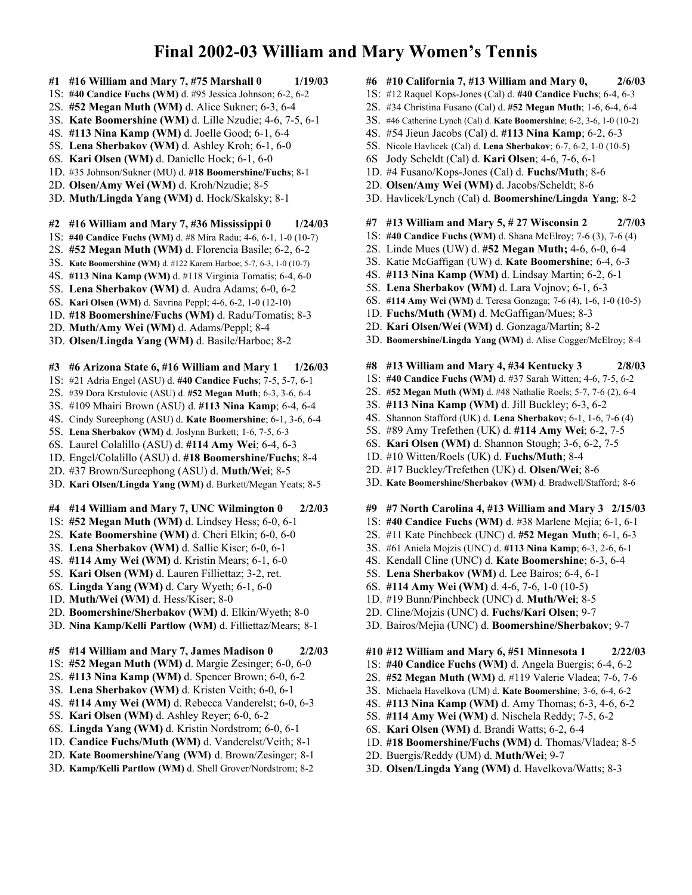- **#1 #16 William and Mary 7, #75 Marshall 0 1/19/03**
- 1S: **#40 Candice Fuchs (WM)** d. #95 Jessica Johnson; 6-2, 6-2
- 2S. **#52 Megan Muth (WM)** d. Alice Sukner; 6-3, 6-4
- 3S. **Kate Boomershine (WM)** d. Lille Nzudie; 4-6, 7-5, 6-1
- 4S. **#113 Nina Kamp (WM)** d. Joelle Good; 6-1, 6-4
- 5S. **Lena Sherbakov (WM)** d. Ashley Kroh; 6-1, 6-0
- 6S. **Kari Olsen (WM)** d. Danielle Hock; 6-1, 6-0
- 1D. #35 Johnson/Sukner (MU) d. **#18 Boomershine/Fuchs**; 8-1
- 2D. **Olsen/Amy Wei (WM)** d. Kroh/Nzudie; 8-5
- 3D. **Muth/Lingda Yang (WM)** d. Hock/Skalsky; 8-1
- **#2 #16 William and Mary 7, #36 Mississippi 0 1/24/03**
- 1S: **#40 Candice Fuchs (WM)** d. #8 Mira Radu; 4-6, 6-1, 1-0 (10-7)
- 2S. **#52 Megan Muth (WM)** d. Florencia Basile; 6-2, 6-2
- 3S. **Kate Boomershine (WM)** d. #122 Karem Harboe; 5-7, 6-3, 1-0 (10-7)
- 4S. **#113 Nina Kamp (WM)** d. #118 Virginia Tomatis; 6-4, 6-0
- 5S. **Lena Sherbakov (WM)** d. Audra Adams; 6-0, 6-2
- 6S. **Kari Olsen (WM)** d. Savrina Peppl; 4-6, 6-2, 1-0 (12-10)
- 1D. **#18 Boomershine/Fuchs (WM)** d. Radu/Tomatis; 8-3
- 2D. **Muth/Amy Wei (WM)** d. Adams/Peppl; 8-4
- 3D. **Olsen/Lingda Yang (WM)** d. Basile/Harboe; 8-2

### **#3 #6 Arizona State 6, #16 William and Mary 1 1/26/03**

- 1S: #21 Adria Engel (ASU) d. **#40 Candice Fuchs**; 7-5, 5-7, 6-1
- 2S. #39 Dora Krstulovic (ASU) d. **#52 Megan Muth**; 6-3, 3-6, 6-4
- 3S. #109 Mhairi Brown (ASU) d. **#113 Nina Kamp**; 6-4, 6-4
- 4S. Cindy Sureephong (ASU) d. **Kate Boomershine**; 6-1, 3-6, 6-4
- 5S. **Lena Sherbakov (WM)** d. Joslynn Burkett; 1-6, 7-5, 6-3
- 6S. Laurel Colalillo (ASU) d. **#114 Amy Wei**; 6-4, 6-3
- 1D. Engel/Colalillo (ASU) d. **#18 Boomershine/Fuchs**; 8-4
- 2D. #37 Brown/Sureephong (ASU) d. **Muth/Wei**; 8-5
- 3D. **Kari Olsen/Lingda Yang (WM)** d. Burkett/Megan Yeats; 8-5
- **#4 #14 William and Mary 7, UNC Wilmington 0 2/2/03**
- 1S: **#52 Megan Muth (WM)** d. Lindsey Hess; 6-0, 6-1
- 2S. **Kate Boomershine (WM)** d. Cheri Elkin; 6-0, 6-0
- 3S. **Lena Sherbakov (WM)** d. Sallie Kiser; 6-0, 6-1
- 4S. **#114 Amy Wei (WM)** d. Kristin Mears; 6-1, 6-0
- 5S. **Kari Olsen (WM)** d. Lauren Filliettaz; 3-2, ret.
- 6S. **Lingda Yang (WM)** d. Cary Wyeth; 6-1, 6-0
- 1D. **Muth/Wei (WM)** d. Hess/Kiser; 8-0
- 2D. **Boomershine/Sherbakov (WM)** d. Elkin/Wyeth; 8-0
- 3D. **Nina Kamp/Kelli Partlow (WM)** d. Filliettaz/Mears; 8-1

### **#5 #14 William and Mary 7, James Madison 0 2/2/03**

- 1S: **#52 Megan Muth (WM)** d. Margie Zesinger; 6-0, 6-0
- 2S. **#113 Nina Kamp (WM)** d. Spencer Brown; 6-0, 6-2
- 3S. **Lena Sherbakov (WM)** d. Kristen Veith; 6-0, 6-1
- 4S. **#114 Amy Wei (WM)** d. Rebecca Vanderelst; 6-0, 6-3
- 5S. **Kari Olsen (WM)** d. Ashley Reyer; 6-0, 6-2
- 6S. **Lingda Yang (WM)** d. Kristin Nordstrom; 6-0, 6-1
- 1D. **Candice Fuchs/Muth (WM)** d. Vanderelst/Veith; 8-1
- 2D. **Kate Boomershine/Yang (WM)** d. Brown/Zesinger; 8-1
- 3D. **Kamp/Kelli Partlow (WM)** d. Shell Grover/Nordstrom; 8-2
- **#6 #10 California 7, #13 William and Mary 0, 2/6/03**
- 1S: #12 Raquel Kops-Jones (Cal) d. **#40 Candice Fuchs**; 6-4, 6-3
- 2S. #34 Christina Fusano (Cal) d. **#52 Megan Muth**; 1-6, 6-4, 6-4
- 3S. #46 Catherine Lynch (Cal) d. **Kate Boomershine**; 6-2, 3-6, 1-0 (10-2)
- 4S. #54 Jieun Jacobs (Cal) d. **#113 Nina Kamp**; 6-2, 6-3
- 5S. Nicole Havlicek (Cal) d. **Lena Sherbakov**; 6-7, 6-2, 1-0 (10-5)
- 6S Jody Scheldt (Cal) d. **Kari Olsen**; 4-6, 7-6, 6-1
- 1D. #4 Fusano/Kops-Jones (Cal) d. **Fuchs/Muth**; 8-6
- 2D. **Olsen/Amy Wei (WM)** d. Jacobs/Scheldt; 8-6
- 3D. Havlicek/Lynch (Cal) d. **Boomershine/Lingda Yang**; 8-2
- **#7 #13 William and Mary 5, # 27 Wisconsin 2 2/7/03**
- 1S: **#40 Candice Fuchs (WM)** d. Shana McElroy; 7-6 (3), 7-6 (4)
- 2S. Linde Mues (UW) d. **#52 Megan Muth;** 4-6, 6-0, 6-4
- 3S. Katie McGaffigan (UW) d. **Kate Boomershine**; 6-4, 6-3
- 4S. **#113 Nina Kamp (WM)** d. Lindsay Martin; 6-2, 6-1
- 5S. **Lena Sherbakov (WM)** d. Lara Vojnov; 6-1, 6-3
- 6S. **#114 Amy Wei (WM)** d. Teresa Gonzaga; 7-6 (4), 1-6, 1-0 (10-5)
- 1D. **Fuchs/Muth (WM)** d. McGaffigan/Mues; 8-3
- 2D. **Kari Olsen/Wei (WM)** d. Gonzaga/Martin; 8-2
- 3D. **Boomershine/Lingda Yang (WM)** d. Alise Cogger/McElroy; 8-4
- **#8 #13 William and Mary 4, #34 Kentucky 3 2/8/03**
- 1S: **#40 Candice Fuchs (WM)** d. #37 Sarah Witten; 4-6, 7-5, 6-2
- 2S. **#52 Megan Muth (WM)** d. #48 Nathalie Roels; 5-7, 7-6 (2), 6-4
- 3S. **#113 Nina Kamp (WM)** d. Jill Buckley; 6-3, 6-2
- 4S. Shannon Stafford (UK) d. **Lena Sherbakov**; 6-1, 1-6, 7-6 (4)
- 5S. #89 Amy Trefethen (UK) d. **#114 Amy Wei**; 6-2, 7-5
- 6S. **Kari Olsen (WM)** d. Shannon Stough; 3-6, 6-2, 7-5
- 1D. #10 Witten/Roels (UK) d. **Fuchs/Muth**; 8-4
- 2D. #17 Buckley/Trefethen (UK) d. **Olsen/Wei**; 8-6
- 3D. **Kate Boomershine/Sherbakov (WM)** d. Bradwell/Stafford; 8-6
- **#9 #7 North Carolina 4, #13 William and Mary 3 2/15/03**
- 1S: **#40 Candice Fuchs (WM)** d. #38 Marlene Mejia; 6-1, 6-1
- 2S. #11 Kate Pinchbeck (UNC) d. **#52 Megan Muth**; 6-1, 6-3
- 3S. #61 Aniela Mojzis (UNC) d. **#113 Nina Kamp**; 6-3, 2-6, 6-1
- 4S. Kendall Cline (UNC) d. **Kate Boomershine**; 6-3, 6-4
- 5S. **Lena Sherbakov (WM)** d. Lee Bairos; 6-4, 6-1
- 6S. **#114 Amy Wei (WM)** d. 4-6, 7-6, 1-0 (10-5)
- 1D. #19 Bunn/Pinchbeck (UNC) d. **Muth/Wei**; 8-5
- 2D. Cline/Mojzis (UNC) d. **Fuchs/Kari Olsen**; 9-7
- 3D. Bairos/Mejia (UNC) d. **Boomershine/Sherbakov**; 9-7

**#10 #12 William and Mary 6, #51 Minnesota 1 2/22/03**

- 1S: **#40 Candice Fuchs (WM)** d. Angela Buergis; 6-4, 6-2
- 2S. **#52 Megan Muth (WM)** d. #119 Valerie Vladea; 7-6, 7-6
- 3S. Michaela Havelkova (UM) d. **Kate Boomershine**; 3-6, 6-4, 6-2
- 4S. **#113 Nina Kamp (WM)** d. Amy Thomas; 6-3, 4-6, 6-2
- 5S. **#114 Amy Wei (WM)** d. Nischela Reddy; 7-5, 6-2
- 6S. **Kari Olsen (WM)** d. Brandi Watts; 6-2, 6-4
- 1D. **#18 Boomershine/Fuchs (WM)** d. Thomas/Vladea; 8-5

3D. **Olsen/Lingda Yang (WM)** d. Havelkova/Watts; 8-3

2D. Buergis/Reddy (UM) d. **Muth/Wei**; 9-7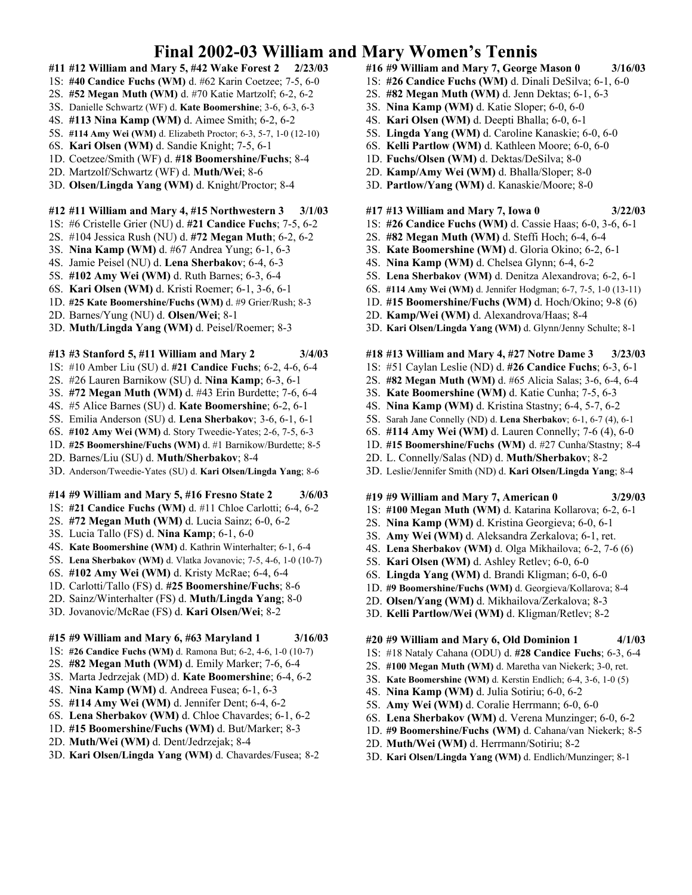- **#11 #12 William and Mary 5, #42 Wake Forest 2 2/23/03**
- 1S: **#40 Candice Fuchs (WM)** d. #62 Karin Coetzee; 7-5, 6-0
- 2S. **#52 Megan Muth (WM)** d. #70 Katie Martzolf; 6-2, 6-2
- 3S. Danielle Schwartz (WF) d. **Kate Boomershine**; 3-6, 6-3, 6-3
- 4S. **#113 Nina Kamp (WM)** d. Aimee Smith; 6-2, 6-2
- 5S. **#114 Amy Wei (WM)** d. Elizabeth Proctor; 6-3, 5-7, 1-0 (12-10)
- 6S. **Kari Olsen (WM)** d. Sandie Knight; 7-5, 6-1
- 1D. Coetzee/Smith (WF) d. **#18 Boomershine/Fuchs**; 8-4
- 2D. Martzolf/Schwartz (WF) d. **Muth/Wei**; 8-6
- 3D. **Olsen/Lingda Yang (WM)** d. Knight/Proctor; 8-4

### **#12 #11 William and Mary 4, #15 Northwestern 3 3/1/03**

- 1S: #6 Cristelle Grier (NU) d. **#21 Candice Fuchs**; 7-5, 6-2
- 2S. #104 Jessica Rush (NU) d. **#72 Megan Muth**; 6-2, 6-2
- 3S. **Nina Kamp (WM)** d. #67 Andrea Yung; 6-1, 6-3
- 4S. Jamie Peisel (NU) d. **Lena Sherbakov**; 6-4, 6-3
- 5S. **#102 Amy Wei (WM)** d. Ruth Barnes; 6-3, 6-4
- 6S. **Kari Olsen (WM)** d. Kristi Roemer; 6-1, 3-6, 6-1
- 1D. **#25 Kate Boomershine/Fuchs (WM)** d. #9 Grier/Rush; 8-3
- 2D. Barnes/Yung (NU) d. **Olsen/Wei**; 8-1
- 3D. **Muth/Lingda Yang (WM)** d. Peisel/Roemer; 8-3

### **#13 #3 Stanford 5, #11 William and Mary 2 3/4/03**

- 1S: #10 Amber Liu (SU) d. **#21 Candice Fuchs**; 6-2, 4-6, 6-4
- 2S. #26 Lauren Barnikow (SU) d. **Nina Kamp**; 6-3, 6-1
- 3S. **#72 Megan Muth (WM)** d. #43 Erin Burdette; 7-6, 6-4
- 4S. #5 Alice Barnes (SU) d. **Kate Boomershine**; 6-2, 6-1
- 5S. Emilia Anderson (SU) d. **Lena Sherbakov**; 3-6, 6-1, 6-1
- 6S. **#102 Amy Wei (WM)** d. Story Tweedie-Yates; 2-6, 7-5, 6-3
- 1D. **#25 Boomershine/Fuchs (WM)** d. #1 Barnikow/Burdette; 8-5
- 2D. Barnes/Liu (SU) d. **Muth/Sherbakov**; 8-4
- 3D. Anderson/Tweedie-Yates (SU) d. **Kari Olsen/Lingda Yang**; 8-6

### **#14 #9 William and Mary 5, #16 Fresno State 2 3/6/03**

- 1S: **#21 Candice Fuchs (WM)** d. #11 Chloe Carlotti; 6-4, 6-2
- 2S. **#72 Megan Muth (WM)** d. Lucia Sainz; 6-0, 6-2
- 3S. Lucia Tallo (FS) d. **Nina Kamp**; 6-1, 6-0
- 4S. **Kate Boomershine (WM)** d. Kathrin Winterhalter; 6-1, 6-4
- 5S. **Lena Sherbakov (WM)** d. Vlatka Jovanovic; 7-5, 4-6, 1-0 (10-7)
- 6S. **#102 Amy Wei (WM)** d. Kristy McRae; 6-4, 6-4
- 1D. Carlotti/Tallo (FS) d. **#25 Boomershine/Fuchs**; 8-6
- 2D. Sainz/Winterhalter (FS) d. **Muth/Lingda Yang**; 8-0
- 3D. Jovanovic/McRae (FS) d. **Kari Olsen/Wei**; 8-2

### **#15 #9 William and Mary 6, #63 Maryland 1 3/16/03**

- 1S: **#26 Candice Fuchs (WM)** d. Ramona But; 6-2, 4-6, 1-0 (10-7)
- 2S. **#82 Megan Muth (WM)** d. Emily Marker; 7-6, 6-4
- 3S. Marta Jedrzejak (MD) d. **Kate Boomershine**; 6-4, 6-2
- 4S. **Nina Kamp (WM)** d. Andreea Fusea; 6-1, 6-3
- 5S. **#114 Amy Wei (WM)** d. Jennifer Dent; 6-4, 6-2
- 6S. **Lena Sherbakov (WM)** d. Chloe Chavardes; 6-1, 6-2
- 1D. **#15 Boomershine/Fuchs (WM)** d. But/Marker; 8-3
- 2D. **Muth/Wei (WM)** d. Dent/Jedrzejak; 8-4
- 3D. **Kari Olsen/Lingda Yang (WM)** d. Chavardes/Fusea; 8-2
- **#16 #9 William and Mary 7, George Mason 0 3/16/03**
- 1S: **#26 Candice Fuchs (WM)** d. Dinali DeSilva; 6-1, 6-0
- 2S. **#82 Megan Muth (WM)** d. Jenn Dektas; 6-1, 6-3
- 3S. **Nina Kamp (WM)** d. Katie Sloper; 6-0, 6-0
- 4S. **Kari Olsen (WM)** d. Deepti Bhalla; 6-0, 6-1
- 5S. **Lingda Yang (WM)** d. Caroline Kanaskie; 6-0, 6-0
- 6S. **Kelli Partlow (WM)** d. Kathleen Moore; 6-0, 6-0
- 1D. **Fuchs/Olsen (WM)** d. Dektas/DeSilva; 8-0
- 2D. **Kamp/Amy Wei (WM)** d. Bhalla/Sloper; 8-0
- 3D. **Partlow/Yang (WM)** d. Kanaskie/Moore; 8-0

#### **#17 #13 William and Mary 7, Iowa 0 3/22/03**

- 1S: **#26 Candice Fuchs (WM)** d. Cassie Haas; 6-0, 3-6, 6-1
- 2S. **#82 Megan Muth (WM)** d. Steffi Hoch; 6-4, 6-4
- 3S. **Kate Boomershine (WM)** d. Gloria Okino; 6-2, 6-1
- 4S. **Nina Kamp (WM)** d. Chelsea Glynn; 6-4, 6-2
- 5S. **Lena Sherbakov (WM)** d. Denitza Alexandrova; 6-2, 6-1
- 6S. **#114 Amy Wei (WM)** d. Jennifer Hodgman; 6-7, 7-5, 1-0 (13-11)
- 1D. **#15 Boomershine/Fuchs (WM)** d. Hoch/Okino; 9-8 (6)
- 2D. **Kamp/Wei (WM)** d. Alexandrova/Haas; 8-4
- 3D. **Kari Olsen/Lingda Yang (WM)** d. Glynn/Jenny Schulte; 8-1

### **#18 #13 William and Mary 4, #27 Notre Dame 3 3/23/03**

- 1S: #51 Caylan Leslie (ND) d. **#26 Candice Fuchs**; 6-3, 6-1
- 2S. **#82 Megan Muth (WM)** d. #65 Alicia Salas; 3-6, 6-4, 6-4
- 3S. **Kate Boomershine (WM)** d. Katie Cunha; 7-5, 6-3
- 4S. **Nina Kamp (WM)** d. Kristina Stastny; 6-4, 5-7, 6-2
- 5S. Sarah Jane Connelly (ND) d. **Lena Sherbakov**; 6-1, 6-7 (4), 6-1
- 6S. **#114 Amy Wei (WM)** d. Lauren Connelly; 7-6 (4), 6-0
- 1D. **#15 Boomershine/Fuchs (WM)** d. #27 Cunha/Stastny; 8-4
- 2D. L. Connelly/Salas (ND) d. **Muth/Sherbakov**; 8-2
- 3D. Leslie/Jennifer Smith (ND) d. **Kari Olsen/Lingda Yang**; 8-4

### **#19 #9 William and Mary 7, American 0 3/29/03**

- 1S: **#100 Megan Muth (WM)** d. Katarina Kollarova; 6-2, 6-1
- 2S. **Nina Kamp (WM)** d. Kristina Georgieva; 6-0, 6-1
- 3S. **Amy Wei (WM)** d. Aleksandra Zerkalova; 6-1, ret.
- 4S. **Lena Sherbakov (WM)** d. Olga Mikhailova; 6-2, 7-6 (6)
- 5S. **Kari Olsen (WM)** d. Ashley Retlev; 6-0, 6-0
- 6S. **Lingda Yang (WM)** d. Brandi Kligman; 6-0, 6-0
- 1D. **#9 Boomershine/Fuchs (WM)** d. Georgieva/Kollarova; 8-4
- 2D. **Olsen/Yang (WM)** d. Mikhailova/Zerkalova; 8-3
- 3D. **Kelli Partlow/Wei (WM)** d. Kligman/Retlev; 8-2

### **#20 #9 William and Mary 6, Old Dominion 1 4/1/03**

- 1S: #18 Nataly Cahana (ODU) d. **#28 Candice Fuchs**; 6-3, 6-4
- 2S. **#100 Megan Muth (WM)** d. Maretha van Niekerk; 3-0, ret.
- 3S. **Kate Boomershine (WM)** d. Kerstin Endlich; 6-4, 3-6, 1-0 (5)
- 4S. **Nina Kamp (WM)** d. Julia Sotiriu; 6-0, 6-2
- 5S. **Amy Wei (WM)** d. Coralie Herrmann; 6-0, 6-0
- 6S. **Lena Sherbakov (WM)** d. Verena Munzinger; 6-0, 6-2
- 1D. **#9 Boomershine/Fuchs (WM)** d. Cahana/van Niekerk; 8-5

3D. **Kari Olsen/Lingda Yang (WM)** d. Endlich/Munzinger; 8-1

2D. **Muth/Wei (WM)** d. Herrmann/Sotiriu; 8-2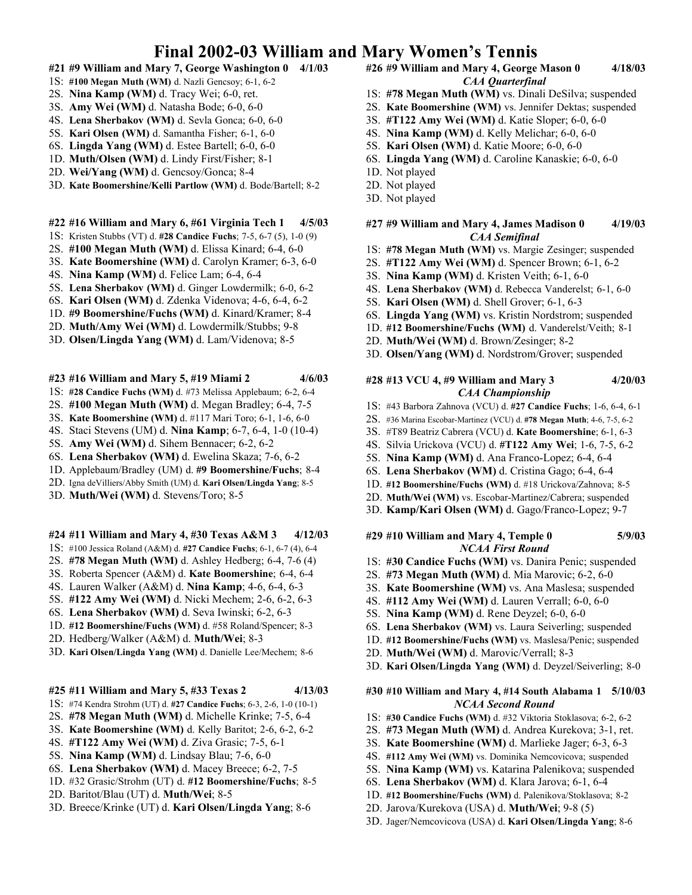- **#21 #9 William and Mary 7, George Washington 0 4/1/03**
- 1S: **#100 Megan Muth (WM)** d. Nazli Gencsoy; 6-1, 6-2
- 2S. **Nina Kamp (WM)** d. Tracy Wei; 6-0, ret.
- 3S. **Amy Wei (WM)** d. Natasha Bode; 6-0, 6-0
- 4S. **Lena Sherbakov (WM)** d. Sevla Gonca; 6-0, 6-0
- 5S. **Kari Olsen (WM)** d. Samantha Fisher; 6-1, 6-0
- 6S. **Lingda Yang (WM)** d. Estee Bartell; 6-0, 6-0
- 1D. **Muth/Olsen (WM)** d. Lindy First/Fisher; 8-1
- 2D. **Wei/Yang (WM)** d. Gencsoy/Gonca; 8-4
- 3D. **Kate Boomershine/Kelli Partlow (WM)** d. Bode/Bartell; 8-2

#### **#22 #16 William and Mary 6, #61 Virginia Tech 1 4/5/03**

- 1S: Kristen Stubbs (VT) d. **#28 Candice Fuchs**; 7-5, 6-7 (5), 1-0 (9)
- 2S. **#100 Megan Muth (WM)** d. Elissa Kinard; 6-4, 6-0
- 3S. **Kate Boomershine (WM)** d. Carolyn Kramer; 6-3, 6-0
- 4S. **Nina Kamp (WM)** d. Felice Lam; 6-4, 6-4
- 5S. **Lena Sherbakov (WM)** d. Ginger Lowdermilk; 6-0, 6-2
- 6S. **Kari Olsen (WM)** d. Zdenka Videnova; 4-6, 6-4, 6-2
- 1D. **#9 Boomershine/Fuchs (WM)** d. Kinard/Kramer; 8-4
- 2D. **Muth/Amy Wei (WM)** d. Lowdermilk/Stubbs; 9-8
- 3D. **Olsen/Lingda Yang (WM)** d. Lam/Videnova; 8-5
- **#23 #16 William and Mary 5, #19 Miami 2 4/6/03**
- 1S: **#28 Candice Fuchs (WM)** d. #73 Melissa Applebaum; 6-2, 6-4
- 2S. **#100 Megan Muth (WM)** d. Megan Bradley; 6-4, 7-5
- 3S. **Kate Boomershine (WM)** d. #117 Mari Toro; 6-1, 1-6, 6-0
- 4S. Staci Stevens (UM) d. **Nina Kamp**; 6-7, 6-4, 1-0 (10-4)
- 5S. **Amy Wei (WM)** d. Sihem Bennacer; 6-2, 6-2
- 6S. **Lena Sherbakov (WM)** d. Ewelina Skaza; 7-6, 6-2
- 1D. Applebaum/Bradley (UM) d. **#9 Boomershine/Fuchs**; 8-4
- 2D. Igna deVilliers/Abby Smith (UM) d. **Kari Olsen/Lingda Yang**; 8-5
- 3D. **Muth/Wei (WM)** d. Stevens/Toro; 8-5

#### **#24 #11 William and Mary 4, #30 Texas A&M 3 4/12/03**

- 1S: #100 Jessica Roland (A&M) d. **#27 Candice Fuchs**; 6-1, 6-7 (4), 6-4
- 2S. **#78 Megan Muth (WM)** d. Ashley Hedberg; 6-4, 7-6 (4)
- 3S. Roberta Spencer (A&M) d. **Kate Boomershine**; 6-4, 6-4
- 4S. Lauren Walker (A&M) d. **Nina Kamp**; 4-6, 6-4, 6-3
- 5S. **#122 Amy Wei (WM)** d. Nicki Mechem; 2-6, 6-2, 6-3
- 6S. **Lena Sherbakov (WM)** d. Seva Iwinski; 6-2, 6-3
- 1D. **#12 Boomershine/Fuchs (WM)** d. #58 Roland/Spencer; 8-3
- 2D. Hedberg/Walker (A&M) d. **Muth/Wei**; 8-3
- 3D. **Kari Olsen/Lingda Yang (WM)** d. Danielle Lee/Mechem; 8-6

#### **#25 #11 William and Mary 5, #33 Texas 2 4/13/03**

- 1S: #74 Kendra Strohm (UT) d. **#27 Candice Fuchs**; 6-3, 2-6, 1-0 (10-1)
- 2S. **#78 Megan Muth (WM)** d. Michelle Krinke; 7-5, 6-4
- 3S. **Kate Boomershine (WM)** d. Kelly Baritot; 2-6, 6-2, 6-2
- 4S. **#T122 Amy Wei (WM)** d. Ziva Grasic; 7-5, 6-1
- 5S. **Nina Kamp (WM)** d. Lindsay Blau; 7-6, 6-0
- 6S. **Lena Sherbakov (WM)** d. Macey Breece; 6-2, 7-5
- 1D. #32 Grasic/Strohm (UT) d. **#12 Boomershine/Fuchs**; 8-5
- 2D. Baritot/Blau (UT) d. **Muth/Wei**; 8-5
- 3D. Breece/Krinke (UT) d. **Kari Olsen/Lingda Yang**; 8-6

### **#26 #9 William and Mary 4, George Mason 0 4/18/03** *CAA Quarterfinal*

- 1S: **#78 Megan Muth (WM)** vs. Dinali DeSilva; suspended
- 2S. **Kate Boomershine (WM)** vs. Jennifer Dektas; suspended
- 3S. **#T122 Amy Wei (WM)** d. Katie Sloper; 6-0, 6-0
- 4S. **Nina Kamp (WM)** d. Kelly Melichar; 6-0, 6-0
- 5S. **Kari Olsen (WM)** d. Katie Moore; 6-0, 6-0
	- 6S. **Lingda Yang (WM)** d. Caroline Kanaskie; 6-0, 6-0
	- 1D. Not played
	- 2D. Not played
	- 3D. Not played

#### **#27 #9 William and Mary 4, James Madison 0 4/19/03** *CAA Semifinal*

- 1S: **#78 Megan Muth (WM)** vs. Margie Zesinger; suspended
- 2S. **#T122 Amy Wei (WM)** d. Spencer Brown; 6-1, 6-2
- 3S. **Nina Kamp (WM)** d. Kristen Veith; 6-1, 6-0
- 4S. **Lena Sherbakov (WM)** d. Rebecca Vanderelst; 6-1, 6-0
- 5S. **Kari Olsen (WM)** d. Shell Grover; 6-1, 6-3
- 6S. **Lingda Yang (WM)** vs. Kristin Nordstrom; suspended
- 1D. **#12 Boomershine/Fuchs (WM)** d. Vanderelst/Veith; 8-1
- 2D. **Muth/Wei (WM)** d. Brown/Zesinger; 8-2
- 3D. **Olsen/Yang (WM)** d. Nordstrom/Grover; suspended

#### **#28 #13 VCU 4, #9 William and Mary 3 4/20/03** *CAA Championship*

- 1S: #43 Barbora Zahnova (VCU) d. **#27 Candice Fuchs**; 1-6, 6-4, 6-1
- 2S. #36 Marina Escobar-Martinez (VCU) d. **#78 Megan Muth**; 4-6, 7-5, 6-2
- 3S. #T89 Beatriz Cabrera (VCU) d. **Kate Boomershine**; 6-1, 6-3
- 4S. Silvia Urickova (VCU) d. **#T122 Amy Wei**; 1-6, 7-5, 6-2
- 5S. **Nina Kamp (WM)** d. Ana Franco-Lopez; 6-4, 6-4
- 6S. **Lena Sherbakov (WM)** d. Cristina Gago; 6-4, 6-4
- 1D. **#12 Boomershine/Fuchs (WM)** d. #18 Urickova/Zahnova; 8-5
- 2D. **Muth/Wei (WM)** vs. Escobar-Martinez/Cabrera; suspended
- 3D. **Kamp/Kari Olsen (WM)** d. Gago/Franco-Lopez; 9-7

#### **#29 #10 William and Mary 4, Temple 0 5/9/03** *NCAA First Round*

- 1S: **#30 Candice Fuchs (WM)** vs. Danira Penic; suspended
- 2S. **#73 Megan Muth (WM)** d. Mia Marovic; 6-2, 6-0
- 3S. **Kate Boomershine (WM)** vs. Ana Maslesa; suspended
- 4S. **#112 Amy Wei (WM)** d. Lauren Verrall; 6-0, 6-0
- 5S. **Nina Kamp (WM)** d. Rene Deyzel; 6-0, 6-0
- 6S. **Lena Sherbakov (WM)** vs. Laura Seiverling; suspended
- 1D. **#12 Boomershine/Fuchs (WM)** vs. Maslesa/Penic; suspended
- 2D. **Muth/Wei (WM)** d. Marovic/Verrall; 8-3
- 3D. **Kari Olsen/Lingda Yang (WM)** d. Deyzel/Seiverling; 8-0

#### **#30 #10 William and Mary 4, #14 South Alabama 1 5/10/03** *NCAA Second Round*

- 1S: **#30 Candice Fuchs (WM)** d. #32 Viktoria Stoklasova; 6-2, 6-2
- 2S. **#73 Megan Muth (WM)** d. Andrea Kurekova; 3-1, ret.
- 3S. **Kate Boomershine (WM)** d. Marlieke Jager; 6-3, 6-3
- 4S. **#112 Amy Wei (WM)** vs. Dominika Nemcovicova; suspended
- 5S. **Nina Kamp (WM)** vs. Katarina Palenikova; suspended
- 6S. **Lena Sherbakov (WM)** d. Klara Jarova; 6-1, 6-4
- 1D. **#12 Boomershine/Fuchs (WM)** d. Palenikova/Stoklasova; 8-2

3D. Jager/Nemcovicova (USA) d. **Kari Olsen/Lingda Yang**; 8-6

2D. Jarova/Kurekova (USA) d. **Muth/Wei**; 9-8 (5)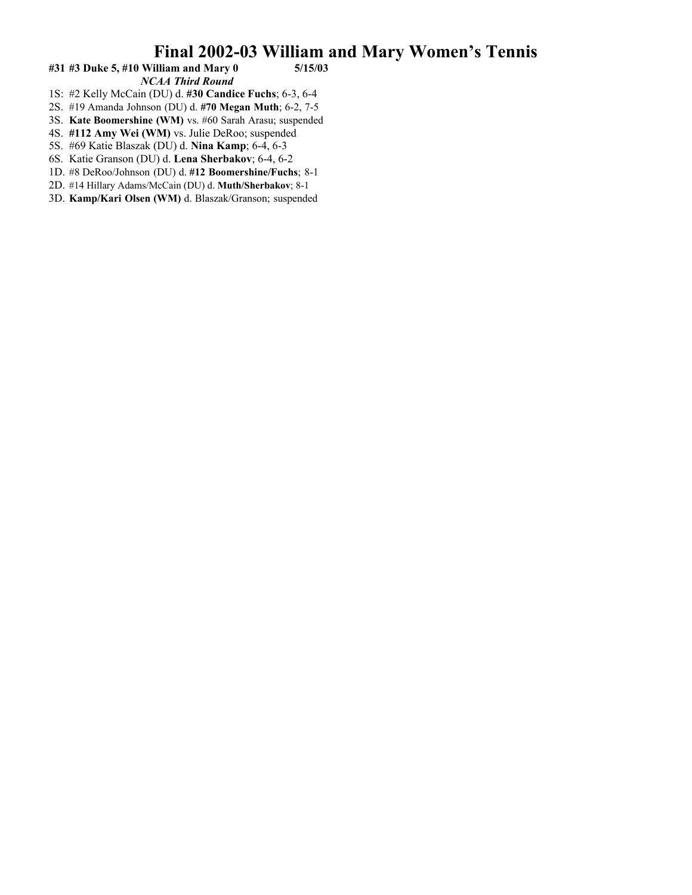### #31 #3 Duke 5, #10 William and Mary 0 *NCAA Third Round*

- 1S: #2 Kelly McCain (DU) d. **#30 Candice Fuchs**; 6-3, 6-4
- 2S. #19 Amanda Johnson (DU) d. **#70 Megan Muth**; 6-2, 7-5
- 3S. **Kate Boomershine (WM)** vs. #60 Sarah Arasu; suspended
- 4S. **#112 Amy Wei (WM)** vs. Julie DeRoo; suspended
- 5S. #69 Katie Blaszak (DU) d. **Nina Kamp**; 6-4, 6-3
- 6S. Katie Granson (DU) d. **Lena Sherbakov**; 6-4, 6-2
- 1D. #8 DeRoo/Johnson (DU) d. **#12 Boomershine/Fuchs**; 8-1
- 2D. #14 Hillary Adams/McCain (DU) d. **Muth/Sherbakov**; 8-1
- 3D. **Kamp/Kari Olsen (WM)** d. Blaszak/Granson; suspended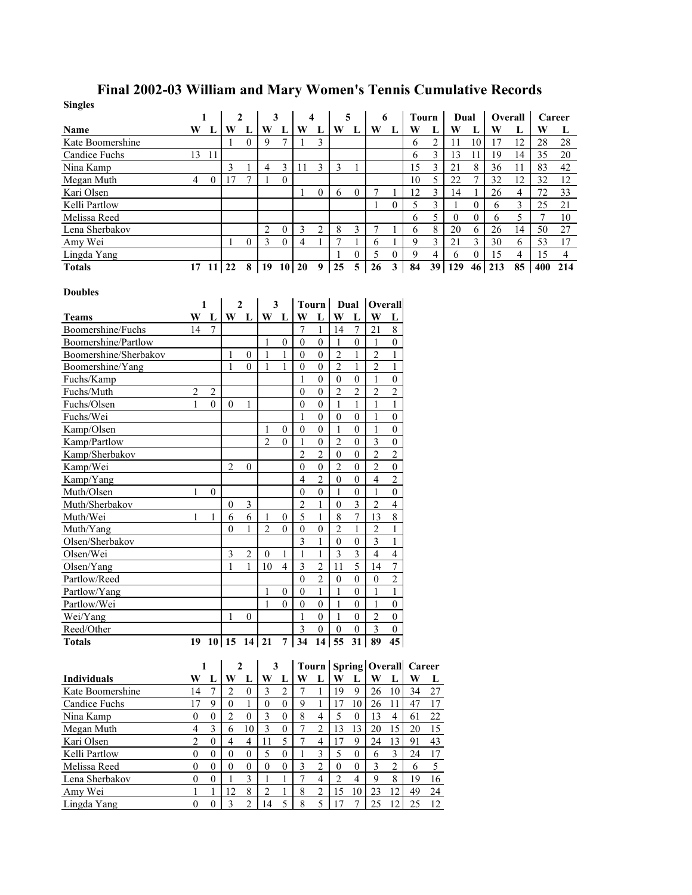# **Final 2002-03 William and Mary Women's Tennis Cumulative Records**

| <b>Singles</b>          |                |                                   |                  |                  |                  |                  |                                |                                    |                    |                       |                     |                                |                                   |                         |                  |                  |         |                |                |                |
|-------------------------|----------------|-----------------------------------|------------------|------------------|------------------|------------------|--------------------------------|------------------------------------|--------------------|-----------------------|---------------------|--------------------------------|-----------------------------------|-------------------------|------------------|------------------|---------|----------------|----------------|----------------|
|                         |                | 1                                 | $\boldsymbol{2}$ |                  | 3                |                  | 4                              |                                    |                    | 5                     | 6                   |                                | <b>Tourn</b>                      |                         | Dual             |                  | Overall |                | Career         |                |
| Name                    |                | W L                               | W                | L                | W L              |                  | W L                            |                                    | W L                |                       | $W$ L               |                                | W                                 | L                       | W                | L                | W       | L              | W              | L              |
| Kate Boomershine        |                |                                   | $\overline{1}$   | $\Omega$         | 9                | $7\phantom{.0}$  | $\mathbf{1}$                   | 3                                  |                    |                       |                     |                                | 6                                 | $\sqrt{2}$              | 11               | $10\,$           | 17      | 12             | 28             | 28             |
| Candice Fuchs           | 13             | 11                                |                  |                  |                  |                  |                                |                                    |                    |                       |                     |                                | 6                                 | $\overline{3}$          | 13               | 11               | 19      | 14             | 35             | 20             |
| Nina Kamp               |                |                                   | 3                | 1                | $\overline{4}$   | $\mathfrak{Z}$   | 11                             | 3                                  | 3                  | 1                     |                     |                                | 15                                | $\overline{\mathbf{3}}$ | 21               | 8                | 36      | 11             | 83             | 42             |
| Megan Muth              | 4              | $\mathbf{0}$                      | 17               | 7                | 1                | $\mathbf{0}$     |                                |                                    |                    |                       |                     |                                | 10                                | 5                       | 22               | 7                | 32      | 12             | 32             | $12\,$         |
| Kari Olsen              |                |                                   |                  |                  |                  |                  | 1                              | $\mathbf{0}$                       | 6                  | $\overline{0}$        | 7                   | 1                              | 12                                | $\overline{3}$          | 14               | 1                | 26      | $\overline{4}$ | 72             | 33             |
| Kelli Partlow           |                |                                   |                  |                  |                  |                  |                                |                                    |                    |                       | $\mathbf{1}$        | $\Omega$                       | 5                                 | $\overline{\mathbf{3}}$ | 1                | $\boldsymbol{0}$ | 6       | 3              | 25             | 21             |
| Melissa Reed            |                |                                   |                  |                  |                  |                  |                                |                                    |                    |                       |                     |                                | 6                                 | 5                       | $\boldsymbol{0}$ | $\boldsymbol{0}$ | 6       | 5              | $\overline{7}$ | 10             |
| Lena Sherbakov          |                |                                   |                  |                  | $\overline{2}$   | $\mathbf{0}$     | 3                              | 2                                  | 8                  | 3                     | 7                   | 1                              | 6                                 | $\,8\,$                 | 20               | 6                | 26      | 14             | 50             | 27             |
| Amy Wei                 |                |                                   | -1               | 0                | 3                | $\mathbf{0}$     | $\overline{4}$                 | 1                                  | $\overline{7}$     | 1                     | 6                   | $\mathbf{1}$                   | 9                                 | 3                       | 21               | 3                | 30      | 6              | 53             | 17             |
| Lingda Yang             |                |                                   |                  |                  |                  |                  |                                |                                    | 1                  | $\boldsymbol{0}$      | 5                   | $\boldsymbol{0}$               | 9                                 | $\overline{4}$          | 6                | $\boldsymbol{0}$ | 15      | $\overline{4}$ | 15             | $\overline{4}$ |
| <b>Totals</b>           | 17             | $11 \overline{\smash{\big)}\ 22}$ |                  | $\bf8$           | $19 \t10 \t20$   |                  |                                | 9                                  | 25                 | $\overline{5}$        | 26                  | 3                              | 84                                | 39                      | 129              | 46               | 213     | 85             | 400            | 214            |
|                         |                |                                   |                  |                  |                  |                  |                                |                                    |                    |                       |                     |                                |                                   |                         |                  |                  |         |                |                |                |
| <b>Doubles</b>          |                |                                   |                  |                  |                  |                  |                                |                                    |                    |                       |                     |                                |                                   |                         |                  |                  |         |                |                |                |
|                         |                | 1                                 | $\mathbf{2}$     |                  | 3                |                  | <b>Tourn</b>                   |                                    |                    | Dual                  | Overall             |                                |                                   |                         |                  |                  |         |                |                |                |
| <b>Teams</b>            | W              | $\mathbf{L}$                      | W                | L                | W L              |                  | W                              | L                                  | W                  | L                     | W                   | L                              |                                   |                         |                  |                  |         |                |                |                |
| Boomershine/Fuchs       | 14             | $7\phantom{.0}$                   |                  |                  |                  |                  | $\overline{7}$                 | 1                                  | 14                 | $\tau$                | 21                  | 8                              |                                   |                         |                  |                  |         |                |                |                |
| Boomershine/Partlow     |                |                                   |                  |                  | 1                | $\mathbf{0}$     | $\mathbf{0}$                   | $\mathbf{0}$                       | 1                  | $\mathbf{0}$          | 1                   | $\boldsymbol{0}$               |                                   |                         |                  |                  |         |                |                |                |
| Boomershine/Sherbakov   |                |                                   | 1                | $\boldsymbol{0}$ |                  | 1                | $\boldsymbol{0}$               | $\boldsymbol{0}$                   | $\overline{2}$     | 1                     | $\overline{c}$      | $\mathbf{1}$                   |                                   |                         |                  |                  |         |                |                |                |
| Boomershine/Yang        |                |                                   | 1                | $\theta$         | 1                | $\mathbf{1}$     | $\mathbf{0}$                   | $\mathbf{0}$                       | $\overline{2}$     | $\mathbf{1}$          | $\overline{2}$      | $\mathbf{1}$                   |                                   |                         |                  |                  |         |                |                |                |
| Fuchs/Kamp              |                |                                   |                  |                  |                  |                  | 1                              | $\mathbf{0}$                       | $\boldsymbol{0}$   | $\boldsymbol{0}$      | 1                   | $\boldsymbol{0}$               |                                   |                         |                  |                  |         |                |                |                |
| Fuchs/Muth              | 2              | 2                                 |                  |                  |                  |                  | $\theta$                       | $\mathbf{0}$                       | $\overline{2}$     | $\overline{c}$        | $\overline{2}$      | $\overline{c}$                 |                                   |                         |                  |                  |         |                |                |                |
| Fuchs/Olsen             |                | $\overline{0}$                    | $\theta$         | 1                |                  |                  | $\mathbf{0}$                   | $\overline{0}$                     | 1                  | 1                     | 1                   | $\mathbf{1}$                   |                                   |                         |                  |                  |         |                |                |                |
| Fuchs/Wei               |                |                                   |                  |                  |                  |                  | 1                              | $\mathbf{0}$                       | $\boldsymbol{0}$   | $\boldsymbol{0}$      | 1                   | $\boldsymbol{0}$               |                                   |                         |                  |                  |         |                |                |                |
| Kamp/Olsen              |                |                                   |                  |                  | $\mathfrak{D}$   | $\mathbf{0}$     | $\mathbf{0}$                   | $\mathbf{0}$                       | 1                  | $\boldsymbol{0}$      | $\mathbf{1}$        | $\mathbf{0}$                   |                                   |                         |                  |                  |         |                |                |                |
| Kamp/Partlow            |                |                                   |                  |                  |                  | $\theta$         | 1                              | $\mathbf{0}$                       | $\overline{2}$     | $\boldsymbol{0}$      | 3                   | $\boldsymbol{0}$               |                                   |                         |                  |                  |         |                |                |                |
| Kamp/Sherbakov          |                |                                   |                  |                  |                  |                  | $\overline{2}$                 | $\overline{2}$                     | $\boldsymbol{0}$   | $\boldsymbol{0}$      | $\overline{c}$      | $\sqrt{2}$                     |                                   |                         |                  |                  |         |                |                |                |
| Kamp/Wei                |                |                                   | $\overline{2}$   | 0                |                  |                  | $\mathbf{0}$<br>$\overline{4}$ | $\mathbf{0}$                       | $\overline{2}$     | $\boldsymbol{0}$      | $\overline{c}$      | $\boldsymbol{0}$<br>$\sqrt{2}$ |                                   |                         |                  |                  |         |                |                |                |
| Kamp/Yang<br>Muth/Olsen |                |                                   |                  |                  |                  |                  | $\mathbf{0}$                   | $\overline{c}$<br>$\boldsymbol{0}$ | $\mathbf{0}$       | $\boldsymbol{0}$      | 4                   | $\boldsymbol{0}$               |                                   |                         |                  |                  |         |                |                |                |
| Muth/Sherbakov          | 1              | $\boldsymbol{0}$                  | $\theta$         | 3                |                  |                  | $\overline{2}$                 | 1                                  | 1<br>$\mathbf{0}$  | $\boldsymbol{0}$<br>3 | 1<br>$\overline{2}$ | $\overline{4}$                 |                                   |                         |                  |                  |         |                |                |                |
| Muth/Wei                | 1              |                                   | 6                | 6                | 1                | $\boldsymbol{0}$ | 5                              | 1                                  | 8                  | $\tau$                | 13                  | $\,8\,$                        |                                   |                         |                  |                  |         |                |                |                |
| Muth/Yang               |                |                                   | $\theta$         | 1                | $\overline{2}$   | $\mathbf{0}$     | $\boldsymbol{0}$               | $\boldsymbol{0}$                   | $\overline{2}$     | $\mathbf{1}$          | $\overline{2}$      | $\mathbf{1}$                   |                                   |                         |                  |                  |         |                |                |                |
| Olsen/Sherbakov         |                |                                   |                  |                  |                  |                  | 3                              | 1                                  | $\boldsymbol{0}$   | $\boldsymbol{0}$      | 3                   | $\mathbf{1}$                   |                                   |                         |                  |                  |         |                |                |                |
| Olsen/Wei               |                |                                   | 3                | 2                | $\mathbf{0}$     | 1                | 1                              | 1                                  | $\mathfrak{Z}$     | 3                     | 4                   | $\overline{4}$                 |                                   |                         |                  |                  |         |                |                |                |
| Olsen/Yang              |                |                                   | $\mathbf{1}$     | $\mathbf{1}$     | 10               | $\overline{4}$   | 3                              | $\overline{2}$                     | 11                 | 5                     | 14                  | $\boldsymbol{7}$               |                                   |                         |                  |                  |         |                |                |                |
| Partlow/Reed            |                |                                   |                  |                  |                  |                  | $\theta$                       | $\overline{c}$                     | $\mathbf{0}$       | $\boldsymbol{0}$      | $\mathbf{0}$        | $\overline{c}$                 |                                   |                         |                  |                  |         |                |                |                |
| Partlow/Yang            |                |                                   |                  |                  | 1                | $\boldsymbol{0}$ | $\boldsymbol{0}$               | $\mathbf{1}$                       | $\mathbf{1}$       | $\boldsymbol{0}$      | 1                   | $\mathbf{1}$                   |                                   |                         |                  |                  |         |                |                |                |
| Partlow/Wei             |                |                                   |                  |                  | $\mathbf{1}$     | $\vert 0 \vert$  | $\overline{0}$                 | $\boldsymbol{0}$                   | $\,1\,$            | $\mathbf{0}$          | $\,1\,$             | $\boldsymbol{0}$               |                                   |                         |                  |                  |         |                |                |                |
| Wei/Yang                |                |                                   | $\mathbf{1}$     | 0                |                  |                  |                                | $\mathbf{0}$                       | 1                  | $\overline{0}$        | $\overline{2}$      | $\overline{0}$                 |                                   |                         |                  |                  |         |                |                |                |
| Reed/Other              |                |                                   |                  |                  |                  |                  | 3                              | $\overline{0}$                     | $\boldsymbol{0}$   | $\overline{0}$        | 3                   | $\mathbf{0}$                   |                                   |                         |                  |                  |         |                |                |                |
| <b>Totals</b>           |                |                                   | $19$ 10 15 14 21 |                  |                  |                  | $7 \overline{\smash)34}$       |                                    | $14 \overline{55}$ |                       | 31 89               | 45                             |                                   |                         |                  |                  |         |                |                |                |
|                         |                |                                   |                  |                  |                  |                  |                                |                                    |                    |                       |                     |                                |                                   |                         |                  |                  |         |                |                |                |
|                         |                | 1                                 | 2                |                  | 3                |                  |                                |                                    |                    |                       |                     |                                | Tourn   Spring   Overall   Career |                         |                  |                  |         |                |                |                |
| <b>Individuals</b>      | W              | L                                 | W                | $\bf{L}$         | W L              |                  | W                              | L                                  | W                  | L                     | W                   | L                              | W                                 | L                       |                  |                  |         |                |                |                |
| Kate Boomershine        | 14             | 7                                 | 2                | $\boldsymbol{0}$ | 3                | $\overline{2}$   | $\overline{7}$                 | 1                                  | 19                 | 9                     | 26                  | 10                             | 34                                | $27\,$                  |                  |                  |         |                |                |                |
| Candice Fuchs           | 17             | 9                                 | $\boldsymbol{0}$ | 1                | $\boldsymbol{0}$ | $\overline{0}$   | 9                              | 1                                  | 17                 | 10                    | 26                  | 11                             | 47                                | 17                      |                  |                  |         |                |                |                |
| Nina Kamp               | $\overline{0}$ | $\boldsymbol{0}$                  | $\overline{c}$   | $\boldsymbol{0}$ | $\mathfrak{Z}$   | $\mathbf{0}$     | 8                              | $\overline{4}$                     | 5                  | $\mathbf{0}$          | 13                  | $\overline{4}$                 | 61                                | 22                      |                  |                  |         |                |                |                |
| Megan Muth              | 4              | 3                                 | 6                | 10               | $\mathfrak{Z}$   | $\boldsymbol{0}$ | 7                              | 2                                  | 13                 | 13                    | 20                  | 15                             | 20                                | 15                      |                  |                  |         |                |                |                |
| Kari Olsen              | $\overline{2}$ | $\boldsymbol{0}$                  | 4                | $\overline{4}$   | 11               | 5                | $\overline{7}$                 | $\overline{4}$                     | 17                 | 9                     | 24                  | 13                             | 91                                | 43                      |                  |                  |         |                |                |                |
| Kelli Partlow           | $\mathbf{0}$   | $\mathbf{0}$                      | $\mathbf{0}$     | $\mathbf{0}$     | 5                | $\mathbf{0}$     | 1                              | 3                                  | 5                  | $\mathbf{0}$          | 6                   | $\mathfrak{Z}$                 | 24                                | 17                      |                  |                  |         |                |                |                |
| Melissa Reed            | $\theta$       | $\boldsymbol{0}$                  | $\boldsymbol{0}$ | $\boldsymbol{0}$ | $\boldsymbol{0}$ | $\boldsymbol{0}$ | 3                              | $\overline{c}$                     | $\boldsymbol{0}$   | $\boldsymbol{0}$      | 3                   | $\overline{c}$                 | 6                                 | 5 <sup>1</sup>          |                  |                  |         |                |                |                |
| Lena Sherbakov          | $\theta$       | $\overline{0}$                    | $\mathbf{1}$     | 3                | 1                | 1                | $\overline{7}$                 | $\overline{4}$                     | $\overline{2}$     | $\overline{4}$        | 9                   | 8                              | 19                                | 16                      |                  |                  |         |                |                |                |

Lena Sherbakov 0 0 1 3 1 1 7 4 2 4 9 8 19 16 Amy Wei 1 1 1 1 1 2 8 2 1 8 2 1 1 5 10 23 12 49 24 Lingda Yang 0 0 3 2 14 5 8 5 17 7 25 12 25 12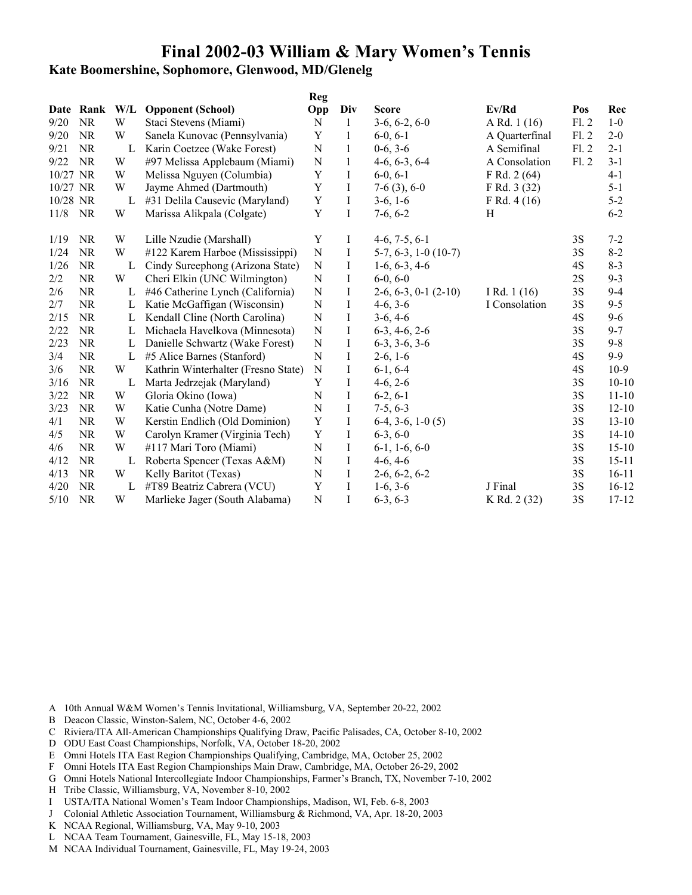# **Kate Boomershine, Sophomore, Glenwood, MD/Glenelg**

|          |           |     |                                     | <b>Reg</b>  |              |                          |                |      |           |
|----------|-----------|-----|-------------------------------------|-------------|--------------|--------------------------|----------------|------|-----------|
|          | Date Rank | W/L | <b>Opponent (School)</b>            | Opp         | Div          | <b>Score</b>             | Ev/Rd          | Pos  | Rec       |
| 9/20     | <b>NR</b> | W   | Staci Stevens (Miami)               | N           | $\mathbf{1}$ | $3-6, 6-2, 6-0$          | A Rd. 1 (16)   | F1.2 | $1 - 0$   |
| 9/20     | <b>NR</b> | W   | Sanela Kunovac (Pennsylvania)       | Y           | 1            | $6-0, 6-1$               | A Quarterfinal | F1.2 | $2 - 0$   |
| 9/21     | <b>NR</b> | L   | Karin Coetzee (Wake Forest)         | N           | 1            | $0-6, 3-6$               | A Semifinal    | F1.2 | $2 - 1$   |
| 9/22     | <b>NR</b> | W   | #97 Melissa Applebaum (Miami)       | ${\bf N}$   | 1            | $4-6, 6-3, 6-4$          | A Consolation  | F1.2 | $3-1$     |
| 10/27 NR |           | W   | Melissa Nguyen (Columbia)           | $\mathbf Y$ | $\bf{I}$     | $6-0, 6-1$               | F Rd. 2 (64)   |      | $4 - 1$   |
| 10/27 NR |           | W   | Jayme Ahmed (Dartmouth)             | Y           | Ι            | $7-6(3), 6-0$            | F Rd. 3 (32)   |      | $5 - 1$   |
| 10/28 NR |           | L   | #31 Delila Causevic (Maryland)      | Y           | $\bf{I}$     | $3-6, 1-6$               | F Rd. $4(16)$  |      | $5 - 2$   |
| 11/8     | <b>NR</b> | W   | Marissa Alikpala (Colgate)          | $\mathbf Y$ | $\mathbf I$  | $7-6, 6-2$               | H              |      | $6 - 2$   |
| 1/19     | <b>NR</b> | W   | Lille Nzudie (Marshall)             | Y           | Ι            | $4-6, 7-5, 6-1$          |                | 3S   | $7 - 2$   |
| 1/24     | <b>NR</b> | W   | #122 Karem Harboe (Mississippi)     | ${\bf N}$   | I            | $5-7, 6-3, 1-0$ (10-7)   |                | 3S   | $8 - 2$   |
| 1/26     | <b>NR</b> | L   | Cindy Sureephong (Arizona State)    | N           | Ι            | $1-6, 6-3, 4-6$          |                | 4S   | $8 - 3$   |
| 2/2      | <b>NR</b> | W   | Cheri Elkin (UNC Wilmington)        | ${\bf N}$   | Ι            | $6-0, 6-0$               |                | 2S   | $9 - 3$   |
| 2/6      | <b>NR</b> | L   | #46 Catherine Lynch (California)    | ${\bf N}$   | I            | $2-6, 6-3, 0-1$ $(2-10)$ | I Rd. $1(16)$  | 3S   | $9 - 4$   |
| 2/7      | <b>NR</b> | L   | Katie McGaffigan (Wisconsin)        | ${\bf N}$   | I            | $4-6, 3-6$               | I Consolation  | 3S   | $9 - 5$   |
| 2/15     | NR        | L   | Kendall Cline (North Carolina)      | ${\bf N}$   | I            | $3-6, 4-6$               |                | 4S   | $9 - 6$   |
| 2/22     | <b>NR</b> | L   | Michaela Havelkova (Minnesota)      | ${\bf N}$   | $\bf{I}$     | $6-3, 4-6, 2-6$          |                | 3S   | $9 - 7$   |
| 2/23     | NR        | L   | Danielle Schwartz (Wake Forest)     | ${\bf N}$   | $\bf{I}$     | $6-3, 3-6, 3-6$          |                | 3S   | $9 - 8$   |
| 3/4      | NR        | L   | #5 Alice Barnes (Stanford)          | $\mathbf N$ | $\bf I$      | $2-6, 1-6$               |                | 4S   | $9 - 9$   |
| 3/6      | NR        | W   | Kathrin Winterhalter (Fresno State) | $\mathbf N$ | Ι            | $6-1, 6-4$               |                | 4S   | $10-9$    |
| 3/16     | <b>NR</b> | L   | Marta Jedrzejak (Maryland)          | Y           | $\mathbf I$  | $4-6, 2-6$               |                | 3S   | $10 - 10$ |
| 3/22     | NR        | W   | Gloria Okino (Iowa)                 | $\mathbf N$ | $\bf{I}$     | $6-2, 6-1$               |                | 3S   | $11 - 10$ |
| 3/23     | NR        | W   | Katie Cunha (Notre Dame)            | ${\bf N}$   | I            | $7-5, 6-3$               |                | 3S   | $12 - 10$ |
| 4/1      | <b>NR</b> | W   | Kerstin Endlich (Old Dominion)      | $\mathbf Y$ | $\bf I$      | $6-4, 3-6, 1-0(5)$       |                | 3S   | $13 - 10$ |
| 4/5      | <b>NR</b> | W   | Carolyn Kramer (Virginia Tech)      | $\mathbf Y$ | $\mathbf I$  | $6-3, 6-0$               |                | 3S   | $14 - 10$ |
| 4/6      | <b>NR</b> | W   | #117 Mari Toro (Miami)              | ${\bf N}$   | I            | $6-1, 1-6, 6-0$          |                | 3S   | $15 - 10$ |
| 4/12     | <b>NR</b> | L   | Roberta Spencer (Texas A&M)         | N           | $\bf{I}$     | $4-6, 4-6$               |                | 3S   | $15 - 11$ |
| 4/13     | <b>NR</b> | W   | Kelly Baritot (Texas)               | ${\bf N}$   | $\mathbf I$  | $2-6, 6-2, 6-2$          |                | 3S   | $16 - 11$ |
| 4/20     | <b>NR</b> | L   | #T89 Beatriz Cabrera (VCU)          | Y           | I            | $1-6, 3-6$               | J Final        | 3S   | $16 - 12$ |
| $5/10$   | <b>NR</b> | W   | Marlieke Jager (South Alabama)      | ${\bf N}$   | I            | $6-3, 6-3$               | K Rd. 2 (32)   | 3S   | $17 - 12$ |

- B Deacon Classic, Winston-Salem, NC, October 4-6, 2002
- C Riviera/ITA All-American Championships Qualifying Draw, Pacific Palisades, CA, October 8-10, 2002
- D ODU East Coast Championships, Norfolk, VA, October 18-20, 2002
- E Omni Hotels ITA East Region Championships Qualifying, Cambridge, MA, October 25, 2002
- F Omni Hotels ITA East Region Championships Main Draw, Cambridge, MA, October 26-29, 2002
- G Omni Hotels National Intercollegiate Indoor Championships, Farmer's Branch, TX, November 7-10, 2002
- H Tribe Classic, Williamsburg, VA, November 8-10, 2002
- I USTA/ITA National Women's Team Indoor Championships, Madison, WI, Feb. 6-8, 2003
- J Colonial Athletic Association Tournament, Williamsburg & Richmond, VA, Apr. 18-20, 2003
- K NCAA Regional, Williamsburg, VA, May 9-10, 2003
- L NCAA Team Tournament, Gainesville, FL, May 15-18, 2003
- M NCAA Individual Tournament, Gainesville, FL, May 19-24, 2003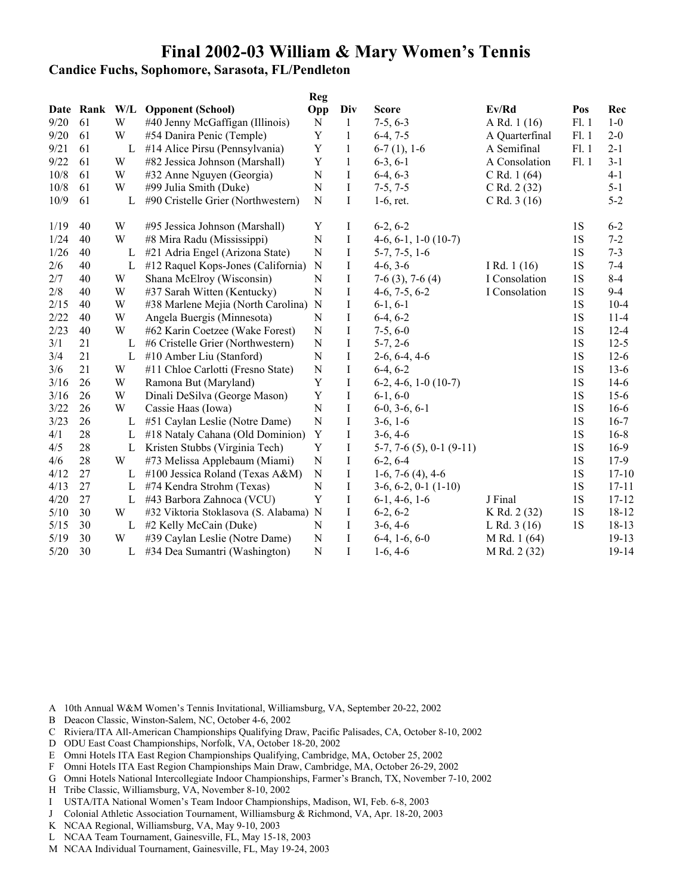**Candice Fuchs, Sophomore, Sarasota, FL/Pendleton**

|        |           |     |                                        | <b>Reg</b>  |              |                                |                  |           |           |
|--------|-----------|-----|----------------------------------------|-------------|--------------|--------------------------------|------------------|-----------|-----------|
|        | Date Rank | W/L | <b>Opponent (School)</b>               | Opp         | Div          | <b>Score</b>                   | Ev/Rd            | Pos       | Rec       |
| 9/20   | 61        | W   | #40 Jenny McGaffigan (Illinois)        | ${\bf N}$   | $\mathbf{1}$ | $7-5, 6-3$                     | A Rd. 1 (16)     | F1.1      | $1 - 0$   |
| 9/20   | 61        | W   | #54 Danira Penic (Temple)              | $\mathbf Y$ | $\mathbf{1}$ | $6-4, 7-5$                     | A Quarterfinal   | F1.1      | $2 - 0$   |
| 9/21   | 61        | L   | #14 Alice Pirsu (Pennsylvania)         | $\mathbf Y$ | $\mathbf{1}$ | $6-7(1), 1-6$                  | A Semifinal      | F1.1      | $2 - 1$   |
| 9/22   | 61        | W   | #82 Jessica Johnson (Marshall)         | $\mathbf Y$ | $\mathbf{1}$ | $6-3, 6-1$                     | A Consolation    | F1.1      | $3 - 1$   |
| 10/8   | 61        | W   | #32 Anne Nguyen (Georgia)              | ${\bf N}$   | $\bf{I}$     | $6-4, 6-3$                     | $C$ Rd. 1 $(64)$ |           | $4 - 1$   |
| 10/8   | 61        | W   | #99 Julia Smith (Duke)                 | ${\bf N}$   | $\mathbf I$  | $7-5, 7-5$                     | C Rd. 2 (32)     |           | $5 - 1$   |
| 10/9   | 61        | L   | #90 Cristelle Grier (Northwestern)     | ${\bf N}$   | $\rm I$      | $1-6$ , ret.                   | $C$ Rd. 3 (16)   |           | $5 - 2$   |
| 1/19   | 40        | W   | #95 Jessica Johnson (Marshall)         | Y           | Ι            | $6-2, 6-2$                     |                  | 1S        | $6 - 2$   |
| 1/24   | 40        | W   | #8 Mira Radu (Mississippi)             | ${\bf N}$   | $\bf{I}$     | $4-6, 6-1, 1-0(10-7)$          |                  | 1S        | $7 - 2$   |
| 1/26   | 40        | L   | #21 Adria Engel (Arizona State)        | ${\bf N}$   | $\bf{I}$     | $5-7, 7-5, 1-6$                |                  | 1S        | $7 - 3$   |
| 2/6    | 40        | L   | #12 Raquel Kops-Jones (California)     | N           | $\bf{I}$     | $4-6, 3-6$                     | I Rd. $1(16)$    | 1S        | $7-4$     |
| 2/7    | 40        | W   | Shana McElroy (Wisconsin)              | ${\bf N}$   | $\mathbf I$  | $7-6$ (3), $7-6$ (4)           | I Consolation    | 1S        | $8 - 4$   |
| 2/8    | 40        | W   | #37 Sarah Witten (Kentucky)            | ${\bf N}$   | $\mathbf I$  | $4-6, 7-5, 6-2$                | I Consolation    | 1S        | $9-4$     |
| 2/15   | 40        | W   | #38 Marlene Mejia (North Carolina) N   |             | $\bf{I}$     | $6-1, 6-1$                     |                  | 1S        | $10 - 4$  |
| 2/22   | 40        | W   | Angela Buergis (Minnesota)             | N           | $\bf{I}$     | $6-4, 6-2$                     |                  | 1S        | $11-4$    |
| 2/23   | 40        | W   | #62 Karin Coetzee (Wake Forest)        | ${\bf N}$   | $\bf{I}$     | $7-5, 6-0$                     |                  | 1S        | $12 - 4$  |
| 3/1    | 21        | L   | #6 Cristelle Grier (Northwestern)      | ${\bf N}$   | $\bf I$      | $5-7, 2-6$                     |                  | 1S        | $12 - 5$  |
| 3/4    | 21        | L   | #10 Amber Liu (Stanford)               | ${\bf N}$   | I            | $2-6, 6-4, 4-6$                |                  | 1S        | $12 - 6$  |
| 3/6    | 21        | W   | #11 Chloe Carlotti (Fresno State)      | ${\bf N}$   | I            | $6-4, 6-2$                     |                  | 1S        | $13 - 6$  |
| 3/16   | 26        | W   | Ramona But (Maryland)                  | Y           | Ι            | $6-2, 4-6, 1-0(10-7)$          |                  | 1S        | $14-6$    |
| 3/16   | 26        | W   | Dinali DeSilva (George Mason)          | $\mathbf Y$ | $\bf{I}$     | $6-1, 6-0$                     |                  | 1S        | $15 - 6$  |
| 3/22   | 26        | W   | Cassie Haas (Iowa)                     | ${\bf N}$   | $\bf{I}$     | $6-0, 3-6, 6-1$                |                  | 1S        | $16-6$    |
| 3/23   | 26        | L   | #51 Caylan Leslie (Notre Dame)         | ${\bf N}$   | $\bf{I}$     | $3-6, 1-6$                     |                  | 1S        | $16 - 7$  |
| 4/1    | 28        | L   | #18 Nataly Cahana (Old Dominion)       | Y           | $\mathbf I$  | $3-6, 4-6$                     |                  | 1S        | $16 - 8$  |
| 4/5    | 28        | L   | Kristen Stubbs (Virginia Tech)         | $\mathbf Y$ | $\bf{I}$     | $5-7, 7-6$ $(5), 0-1$ $(9-11)$ |                  | 1S        | $16-9$    |
| 4/6    | 28        | W   | #73 Melissa Applebaum (Miami)          | ${\bf N}$   | $\bf{I}$     | $6-2, 6-4$                     |                  | 1S        | $17-9$    |
| 4/12   | 27        | L   | #100 Jessica Roland (Texas A&M)        | ${\bf N}$   | $\bf I$      | $1-6, 7-6(4), 4-6$             |                  | 1S        | $17 - 10$ |
| 4/13   | 27        | L   | #74 Kendra Strohm (Texas)              | ${\bf N}$   | $\bf{I}$     | $3-6, 6-2, 0-1(1-10)$          |                  | <b>1S</b> | $17 - 11$ |
| 4/20   | 27        | L   | #43 Barbora Zahnoca (VCU)              | Y           | $\mathbf I$  | $6-1, 4-6, 1-6$                | J Final          | 1S        | $17 - 12$ |
| 5/10   | 30        | W   | #32 Viktoria Stoklasova (S. Alabama) N |             | $\rm I$      | $6-2, 6-2$                     | K Rd. 2 (32)     | 1S        | $18 - 12$ |
| $5/15$ | 30        | L   | #2 Kelly McCain (Duke)                 | ${\bf N}$   | $\rm I$      | $3-6, 4-6$                     | L Rd. $3(16)$    | <b>1S</b> | $18 - 13$ |
| 5/19   | 30        | W   | #39 Caylan Leslie (Notre Dame)         | ${\bf N}$   | $\bf{I}$     | $6-4, 1-6, 6-0$                | M Rd. 1 (64)     |           | 19-13     |
| $5/20$ | 30        | L   | #34 Dea Sumantri (Washington)          | $\mathbf N$ | $\rm I$      | $1-6, 4-6$                     | M Rd. 2 (32)     |           | 19-14     |

- A 10th Annual W&M Women's Tennis Invitational, Williamsburg, VA, September 20-22, 2002
- B Deacon Classic, Winston-Salem, NC, October 4-6, 2002
- C Riviera/ITA All-American Championships Qualifying Draw, Pacific Palisades, CA, October 8-10, 2002
- D ODU East Coast Championships, Norfolk, VA, October 18-20, 2002
- E Omni Hotels ITA East Region Championships Qualifying, Cambridge, MA, October 25, 2002
- F Omni Hotels ITA East Region Championships Main Draw, Cambridge, MA, October 26-29, 2002
- G Omni Hotels National Intercollegiate Indoor Championships, Farmer's Branch, TX, November 7-10, 2002
- H Tribe Classic, Williamsburg, VA, November 8-10, 2002
- I USTA/ITA National Women's Team Indoor Championships, Madison, WI, Feb. 6-8, 2003
- J Colonial Athletic Association Tournament, Williamsburg & Richmond, VA, Apr. 18-20, 2003
- K NCAA Regional, Williamsburg, VA, May 9-10, 2003
- L NCAA Team Tournament, Gainesville, FL, May 15-18, 2003
- M NCAA Individual Tournament, Gainesville, FL, May 19-24, 2003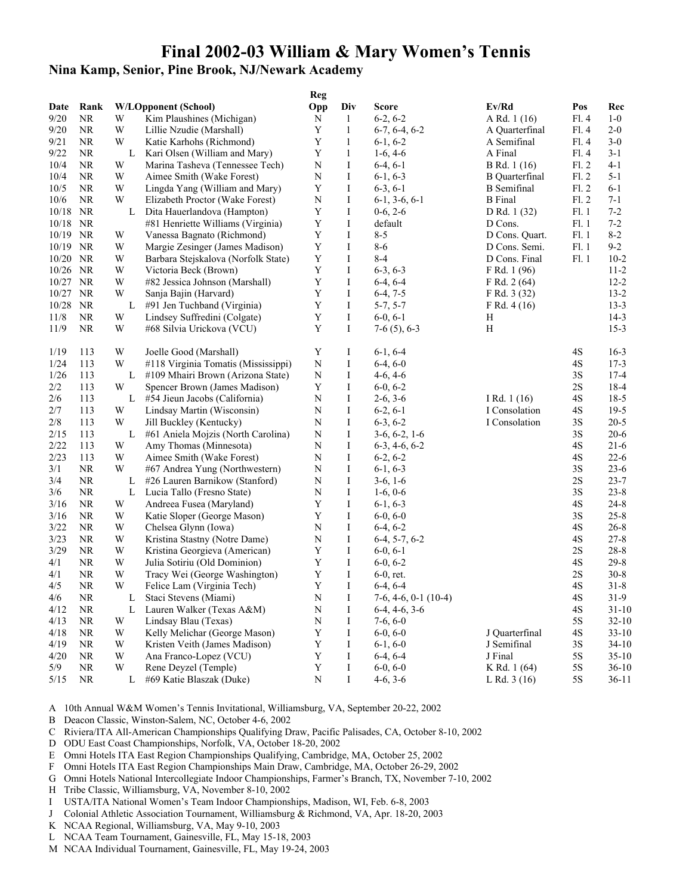## **Nina Kamp, Senior, Pine Brook, NJ/Newark Academy**

|             |           |        |                                     | <b>Reg</b>  |               |                          |                       |               |                  |
|-------------|-----------|--------|-------------------------------------|-------------|---------------|--------------------------|-----------------------|---------------|------------------|
| Date        | Rank      |        | <b>W/LOpponent (School)</b>         | Opp         | Div           | <b>Score</b>             | Ev/Rd                 | Pos           | Rec              |
| 9/20        | <b>NR</b> | W      | Kim Plaushines (Michigan)           | N           | 1             | $6-2, 6-2$               | A Rd. 1 (16)          | F1.4          | $1-0$            |
| 9/20        | <b>NR</b> | W      | Lillie Nzudie (Marshall)            | Y           | $\mathbf{1}$  | $6-7, 6-4, 6-2$          | A Quarterfinal        | F1.4          | $2 - 0$          |
| 9/21        | NR.       | W      | Katie Karhohs (Richmond)            | Y           | 1             | $6-1, 6-2$               | A Semifinal           | F1.4          | $3-0$            |
| 9/22        | <b>NR</b> | L      | Kari Olsen (William and Mary)       | Y           | $\mathbf{1}$  | $1-6, 4-6$               | A Final               | F1.4          | $3-1$            |
| 10/4        | <b>NR</b> | W      | Marina Tasheva (Tennessee Tech)     | N           | $\bf{I}$      | $6-4, 6-1$               | B Rd. 1 (16)          | F1.2          | $4 - 1$          |
| 10/4        | <b>NR</b> | W      | Aimee Smith (Wake Forest)           | N           | Ι             | $6-1, 6-3$               | <b>B</b> Quarterfinal | F1.2          | $5-1$            |
| 10/5        | <b>NR</b> | W      | Lingda Yang (William and Mary)      | Y           | I             | $6-3, 6-1$               | <b>B</b> Semifinal    | F1.2          | $6-1$            |
| $10/6$      | <b>NR</b> | W      | Elizabeth Proctor (Wake Forest)     | N           | $\bf{I}$      | $6-1, 3-6, 6-1$          | <b>B</b> Final        | F1.2          | $7-1$            |
| 10/18       | NR        | L      | Dita Hauerlandova (Hampton)         | Y           | $\bf{I}$      | $0-6, 2-6$               | D Rd. 1 (32)          | F1.1          | $7 - 2$          |
| 10/18 NR    |           |        | #81 Henriette Williams (Virginia)   | Y           | I             | default                  | D Cons.               | F1.1          | $7 - 2$          |
| 10/19       | NR        | W      | Vanessa Bagnato (Richmond)          | Y           | $\bf{I}$      | $8 - 5$                  | D Cons. Quart.        | F1.1          | $8 - 2$          |
| 10/19       | NR        | W      | Margie Zesinger (James Madison)     | $\mathbf Y$ | $\bf{I}$      | $8 - 6$                  | D Cons. Semi.         | F1.1          | $9 - 2$          |
| 10/20       | NR        | W      | Barbara Stejskalova (Norfolk State) | $\mathbf Y$ | I             | $8 - 4$                  | D Cons. Final         | F1.1          | $10 - 2$         |
| 10/26 NR    |           | W      | Victoria Beck (Brown)               | Y           | $\bf{I}$      | $6-3, 6-3$               | F Rd. 1 (96)          |               | $11 - 2$         |
| 10/27 NR    |           | W      | #82 Jessica Johnson (Marshall)      | Y           | Ι             | $6-4, 6-4$               | F Rd. 2(64)           |               | $12 - 2$         |
| 10/27       | <b>NR</b> | W      | Sanja Bajin (Harvard)               | Y           | $\bf{I}$      | $6-4, 7-5$               | F Rd. 3 (32)          |               | $13 - 2$         |
| 10/28       | NR        | L      | #91 Jen Tuchband (Virginia)         | Y           | Ι             | $5-7, 5-7$               | F Rd. $4(16)$         |               | $13 - 3$         |
| 11/8        | NR.       | W      | Lindsey Suffredini (Colgate)        | Y           | I             | $6-0, 6-1$               | Η                     |               | $14-3$           |
| 11/9        | <b>NR</b> | W      | #68 Silvia Urickova (VCU)           | Y           | $\bf{I}$      | $7-6(5)$ , 6-3           | H                     |               | $15-3$           |
|             |           |        |                                     |             |               |                          |                       |               |                  |
| 1/19        | 113       | W      | Joelle Good (Marshall)              | Y           | Ι             | $6-1, 6-4$               |                       | 4S            | $16-3$           |
| 1/24        | 113       | W      | #118 Virginia Tomatis (Mississippi) | N           | Ι             | $6-4, 6-0$               |                       | 4S            | $17-3$           |
|             | 113       |        |                                     |             |               |                          |                       |               |                  |
| 1/26<br>2/2 | 113       | L<br>W | #109 Mhairi Brown (Arizona State)   | N<br>Y      | $\bf{I}$<br>Ι | $4-6, 4-6$<br>$6-0, 6-2$ |                       | 3S<br>2S      | $17 - 4$<br>18-4 |
|             |           |        | Spencer Brown (James Madison)       |             |               |                          |                       |               |                  |
| 2/6         | 113       | L      | #54 Jieun Jacobs (California)       | N           | Ι             | $2-6, 3-6$               | I Rd. 1 (16)          | 4S            | $18-5$           |
| 2/7         | 113       | W      | Lindsay Martin (Wisconsin)          | N           | $\bf{I}$      | $6-2, 6-1$               | I Consolation         | 4S            | $19-5$           |
| 2/8         | 113       | W      | Jill Buckley (Kentucky)             | ${\bf N}$   | $\bf I$       | $6-3, 6-2$               | I Consolation         | 3S            | $20 - 5$         |
| 2/15        | 113       | L      | #61 Aniela Mojzis (North Carolina)  | N           | I             | $3-6, 6-2, 1-6$          |                       | 3S            | $20 - 6$         |
| 2/22        | 113       | W      | Amy Thomas (Minnesota)              | N           | Ι             | $6-3, 4-6, 6-2$          |                       | 4S            | $21-6$           |
| 2/23        | 113       | W      | Aimee Smith (Wake Forest)           | N           | $\bf{I}$      | $6-2, 6-2$               |                       | 4S            | $22 - 6$         |
| 3/1         | <b>NR</b> | W      | #67 Andrea Yung (Northwestern)      | N           | $\bf{I}$      | $6-1, 6-3$               |                       | 3S            | $23 - 6$         |
| 3/4         | <b>NR</b> | L      | #26 Lauren Barnikow (Stanford)      | N           | I             | $3-6, 1-6$               |                       | 2S            | $23 - 7$         |
| 3/6         | <b>NR</b> | L      | Lucia Tallo (Fresno State)          | N           | I             | $1-6, 0-6$               |                       | 3S            | $23 - 8$         |
| $3/16$      | <b>NR</b> | W      | Andreea Fusea (Maryland)            | Y           | $\bf I$       | $6-1, 6-3$               |                       | 4S            | $24 - 8$         |
| 3/16        | <b>NR</b> | W      | Katie Sloper (George Mason)         | Y           | Ι             | $6-0, 6-0$               |                       | 3S            | $25 - 8$         |
| 3/22        | <b>NR</b> | W      | Chelsea Glynn (Iowa)                | N           | I             | $6-4, 6-2$               |                       | 4S            | $26 - 8$         |
| 3/23        | <b>NR</b> | W      | Kristina Stastny (Notre Dame)       | N           | I             | $6-4, 5-7, 6-2$          |                       | $4\mathrm{S}$ | $27 - 8$         |
| 3/29        | <b>NR</b> | W      | Kristina Georgieva (American)       | Y           | $\bf{I}$      | $6-0, 6-1$               |                       | 2S            | $28 - 8$         |
| 4/1         | <b>NR</b> | W      | Julia Sotiriu (Old Dominion)        | Y           | Ι             | $6-0, 6-2$               |                       | 4S            | $29 - 8$         |
| 4/1         | <b>NR</b> | W      | Tracy Wei (George Washington)       | Y           | Ι             | $6-0$ , ret.             |                       | 2S            | $30 - 8$         |
| 4/5         | <b>NR</b> | W      | Felice Lam (Virginia Tech)          | Y           | $\bf{I}$      | $6-4, 6-4$               |                       | 4S            | $31 - 8$         |
| 4/6         | $\rm NR$  | L      | Staci Stevens (Miami)               | ${\bf N}$   | I             | $7-6, 4-6, 0-1$ (10-4)   |                       | 4S            | $31-9$           |
| 4/12        | NR.       | L      | Lauren Walker (Texas A&M)           | N           | Ι             | $6-4, 4-6, 3-6$          |                       | 4S            | $31 - 10$        |
| 4/13        | <b>NR</b> | W      | Lindsay Blau (Texas)                | N           | Ι             | $7-6, 6-0$               |                       | 5S            | $32 - 10$        |
| 4/18        | NR.       | W      | Kelly Melichar (George Mason)       | Y           | I             | $6-0, 6-0$               | J Quarterfinal        | 4S            | $33 - 10$        |
| 4/19        | <b>NR</b> | W      | Kristen Veith (James Madison)       | Y           | Ι             | $6-1, 6-0$               | J Semifinal           | 3S            | $34 - 10$        |
| 4/20        | NR.       | W      | Ana Franco-Lopez (VCU)              | Y           | Ι             | $6-4, 6-4$               | J Final               | 5S            | $35 - 10$        |
| 5/9         | <b>NR</b> | W      | Rene Deyzel (Temple)                | $\mathbf Y$ | I             | $6-0, 6-0$               | K Rd. 1 (64)          | $5S$          | $36 - 10$        |
| 5/15        | <b>NR</b> | L      | #69 Katie Blaszak (Duke)            | N           | Ι             | $4-6, 3-6$               | L Rd. $3(16)$         | 5S            | $36-11$          |
|             |           |        |                                     |             |               |                          |                       |               |                  |

- B Deacon Classic, Winston-Salem, NC, October 4-6, 2002
- C Riviera/ITA All-American Championships Qualifying Draw, Pacific Palisades, CA, October 8-10, 2002
- D ODU East Coast Championships, Norfolk, VA, October 18-20, 2002
- E Omni Hotels ITA East Region Championships Qualifying, Cambridge, MA, October 25, 2002
- F Omni Hotels ITA East Region Championships Main Draw, Cambridge, MA, October 26-29, 2002
- G Omni Hotels National Intercollegiate Indoor Championships, Farmer's Branch, TX, November 7-10, 2002
- H Tribe Classic, Williamsburg, VA, November 8-10, 2002
- I USTA/ITA National Women's Team Indoor Championships, Madison, WI, Feb. 6-8, 2003
- J Colonial Athletic Association Tournament, Williamsburg & Richmond, VA, Apr. 18-20, 2003
- K NCAA Regional, Williamsburg, VA, May 9-10, 2003
- L NCAA Team Tournament, Gainesville, FL, May 15-18, 2003
- M NCAA Individual Tournament, Gainesville, FL, May 19-24, 2003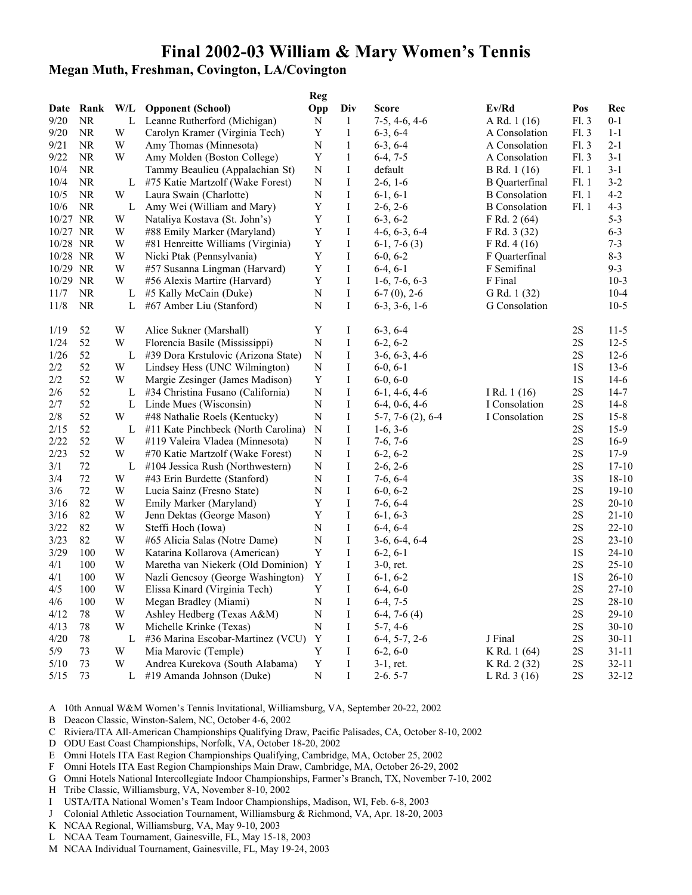# **Megan Muth, Freshman, Covington, LA/Covington**

|          |           |                         |                                      | Reg         |              |                    |                       |               |           |
|----------|-----------|-------------------------|--------------------------------------|-------------|--------------|--------------------|-----------------------|---------------|-----------|
|          | Date Rank | W/L                     | <b>Opponent (School)</b>             | Opp         | Div          | Score              | Ev/Rd                 | Pos           | Rec       |
| 9/20     | NR.       | L                       | Leanne Rutherford (Michigan)         | N           | $\mathbf{1}$ | $7-5, 4-6, 4-6$    | A Rd. 1 (16)          | Fl. 3         | $0 - 1$   |
| 9/20     | NR.       | W                       | Carolyn Kramer (Virginia Tech)       | $\mathbf Y$ | $\mathbf{1}$ | $6-3, 6-4$         | A Consolation         | F1.3          | $1 - 1$   |
| 9/21     | <b>NR</b> | W                       | Amy Thomas (Minnesota)               | ${\bf N}$   | $\mathbf{1}$ | $6-3, 6-4$         | A Consolation         | F1.3          | $2 - 1$   |
| 9/22     | NR.       | W                       | Amy Molden (Boston College)          | $\mathbf Y$ | $\mathbf{1}$ | $6-4, 7-5$         | A Consolation         | F1.3          | $3-1$     |
| 10/4     | <b>NR</b> |                         | Tammy Beaulieu (Appalachian St)      | N           | $\rm I$      | default            | B Rd. 1 (16)          | F1.1          | $3 - 1$   |
| 10/4     | NR.       | L                       | #75 Katie Martzolf (Wake Forest)     | N           | Ι            | $2-6, 1-6$         | <b>B</b> Quarterfinal | Fl. 1         | $3-2$     |
| 10/5     | $\rm NR$  | W                       | Laura Swain (Charlotte)              | N           | I            | $6-1, 6-1$         | <b>B</b> Consolation  | F1.1          | $4 - 2$   |
| 10/6     | <b>NR</b> | L                       | Amy Wei (William and Mary)           | $\mathbf Y$ | $\rm I$      | $2-6, 2-6$         | <b>B</b> Consolation  | Fl. 1         | $4 - 3$   |
| 10/27 NR |           | W                       | Nataliya Kostava (St. John's)        | $\mathbf Y$ | I            | $6-3, 6-2$         | F Rd. 2 (64)          |               | $5 - 3$   |
| 10/27 NR |           | W                       | #88 Emily Marker (Maryland)          | $\mathbf Y$ | $\bf{I}$     | $4-6, 6-3, 6-4$    | F Rd. 3 (32)          |               | $6 - 3$   |
| 10/28 NR |           | W                       | #81 Henreitte Williams (Virginia)    | $\mathbf Y$ | I            | $6-1, 7-6(3)$      | F Rd. 4 (16)          |               | $7 - 3$   |
| 10/28 NR |           | W                       | Nicki Ptak (Pennsylvania)            | $\mathbf Y$ | $\bf I$      | $6-0, 6-2$         | F Quarterfinal        |               | $8 - 3$   |
| 10/29 NR |           | W                       | #57 Susanna Lingman (Harvard)        | Y           | I            | $6-4, 6-1$         | F Semifinal           |               | $9 - 3$   |
| 10/29 NR |           | W                       | #56 Alexis Martire (Harvard)         | Y           | Ι            | $1-6, 7-6, 6-3$    | F Final               |               | $10-3$    |
| 11/7     | NR.       | L                       | #5 Kally McCain (Duke)               | N           | $\bf I$      | $6-7(0)$ , 2-6     | G Rd. 1 (32)          |               | $10-4$    |
| 11/8     | NR.       | L                       | #67 Amber Liu (Stanford)             | N           | I            | $6-3, 3-6, 1-6$    | G Consolation         |               | $10-5$    |
|          |           |                         |                                      |             |              |                    |                       |               |           |
| 1/19     | 52        | W                       | Alice Sukner (Marshall)              | Y           | Ι            | $6-3, 6-4$         |                       | 2S            | $11-5$    |
| 1/24     | 52        | W                       | Florencia Basile (Mississippi)       | $\mathbf N$ | I            | $6-2, 6-2$         |                       | 2S            | $12-5$    |
| 1/26     | 52        | L                       | #39 Dora Krstulovic (Arizona State)  | N           | I            | $3-6, 6-3, 4-6$    |                       | 2S            | $12-6$    |
| 2/2      | 52        | W                       | Lindsey Hess (UNC Wilmington)        | N           | Ι            | $6-0, 6-1$         |                       | 1S            | $13-6$    |
| $2/2\,$  | 52        | W                       | Margie Zesinger (James Madison)      | $\mathbf Y$ | I            | $6-0, 6-0$         |                       | 1S            | $14-6$    |
| 2/6      | 52        |                         | L #34 Christina Fusano (California)  | ${\bf N}$   | I            | $6-1, 4-6, 4-6$    | I Rd. $1(16)$         | 2S            | $14-7$    |
| 2/7      | 52        |                         | L Linde Mues (Wisconsin)             | N           | I            | $6-4, 0-6, 4-6$    | I Consolation         | $2\mathrm{S}$ | $14-8$    |
| 2/8      | 52        | W                       | #48 Nathalie Roels (Kentucky)        | ${\bf N}$   | I            | $5-7, 7-6(2), 6-4$ | I Consolation         | $2{\rm S}$    | $15 - 8$  |
| 2/15     | 52        | L                       | #11 Kate Pinchbeck (North Carolina)  | N           | I            | $1-6, 3-6$         |                       | 2S            | $15-9$    |
| 2/22     | 52        | W                       | #119 Valeira Vladea (Minnesota)      | N           | I            | $7-6, 7-6$         |                       | 2S            | $16-9$    |
| 2/23     | 52        | W                       | #70 Katie Martzolf (Wake Forest)     | N           | I            | $6-2, 6-2$         |                       | 2S            | 17-9      |
| 3/1      | 72        | L                       | #104 Jessica Rush (Northwestern)     | N           | I            | $2-6, 2-6$         |                       | 2S            | $17 - 10$ |
| 3/4      | 72        | W                       | #43 Erin Burdette (Stanford)         | N           | I            | $7-6, 6-4$         |                       | 3S            | $18-10$   |
| 3/6      | 72        | W                       | Lucia Sainz (Fresno State)           | N           | I            | $6-0, 6-2$         |                       | $2{\rm S}$    | $19-10$   |
| 3/16     | 82        | W                       | Emily Marker (Maryland)              | Y           | I            | $7-6, 6-4$         |                       | 2S            | $20 - 10$ |
| 3/16     | 82        | W                       | Jenn Dektas (George Mason)           | Y           | $\bf{I}$     | $6-1, 6-3$         |                       | 2S            | $21-10$   |
| $3/22$   | 82        | W                       | Steffi Hoch (Iowa)                   | N           | I            | $6-4, 6-4$         |                       | 2S            | $22 - 10$ |
| 3/23     | 82        | W                       | #65 Alicia Salas (Notre Dame)        | N           | Ι            | $3-6, 6-4, 6-4$    |                       | 2S            | $23 - 10$ |
| 3/29     | 100       | W                       | Katarina Kollarova (American)        | $\mathbf Y$ | I            | $6-2, 6-1$         |                       | 1S            | $24-10$   |
| 4/1      | 100       | $\ensuremath{\text{W}}$ | Maretha van Niekerk (Old Dominion) Y |             | I            | $3-0$ , ret.       |                       | $2\mathrm{S}$ | $25-10$   |
| 4/1      | 100       | W                       | Nazli Gencsoy (George Washington)    | Y           | I            | $6-1, 6-2$         |                       | 1S            | $26-10$   |
| 4/5      | 100       | W                       | Elissa Kinard (Virginia Tech)        | Y           | I            | $6-4, 6-0$         |                       | $2{\rm S}$    | $27 - 10$ |
| 4/6      | 100       | W                       | Megan Bradley (Miami)                | N           | I            | $6-4, 7-5$         |                       | 2S            | $28 - 10$ |
| 4/12     | 78        | W                       | Ashley Hedberg (Texas A&M)           | N           | I            | $6-4, 7-6(4)$      |                       | 2S            | $29-10$   |
| 4/13     | 78        | W                       | Michelle Krinke (Texas)              | N           | Ι            | $5-7, 4-6$         |                       | 2S            | $30 - 10$ |
| 4/20     | 78        | L                       | #36 Marina Escobar-Martinez (VCU)    | Y           | Ι            | $6-4, 5-7, 2-6$    | J Final               | 2S            | $30 - 11$ |
| 5/9      | 73        | W                       | Mia Marovic (Temple)                 | Y           | $\bf I$      | $6-2, 6-0$         | K Rd. 1 (64)          | $2\mathrm{S}$ | $31 - 11$ |
| 5/10     | 73        | W                       | Andrea Kurekova (South Alabama)      | $\mathbf Y$ | $\rm I$      | $3-1$ , ret.       | K Rd. 2 (32)          | $2\mathrm{S}$ | $32 - 11$ |
| 5/15     | 73        | L                       | #19 Amanda Johnson (Duke)            | N           | $\rm I$      | $2-6.5-7$          | L Rd. $3(16)$         | 2S            | $32 - 12$ |
|          |           |                         |                                      |             |              |                    |                       |               |           |

- B Deacon Classic, Winston-Salem, NC, October 4-6, 2002
- C Riviera/ITA All-American Championships Qualifying Draw, Pacific Palisades, CA, October 8-10, 2002
- D ODU East Coast Championships, Norfolk, VA, October 18-20, 2002
- E Omni Hotels ITA East Region Championships Qualifying, Cambridge, MA, October 25, 2002
- F Omni Hotels ITA East Region Championships Main Draw, Cambridge, MA, October 26-29, 2002
- G Omni Hotels National Intercollegiate Indoor Championships, Farmer's Branch, TX, November 7-10, 2002
- H Tribe Classic, Williamsburg, VA, November 8-10, 2002
- I USTA/ITA National Women's Team Indoor Championships, Madison, WI, Feb. 6-8, 2003
- J Colonial Athletic Association Tournament, Williamsburg & Richmond, VA, Apr. 18-20, 2003
- K NCAA Regional, Williamsburg, VA, May 9-10, 2003
- L NCAA Team Tournament, Gainesville, FL, May 15-18, 2003
- M NCAA Individual Tournament, Gainesville, FL, May 19-24, 2003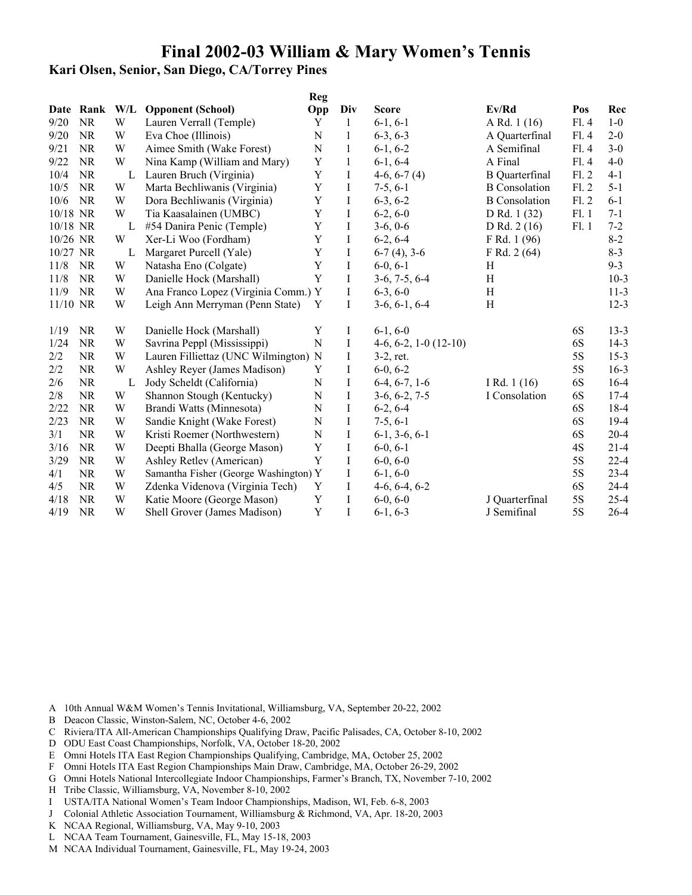### **Kari Olsen, Senior, San Diego, CA/Torrey Pines**

|          |           |     |                                       | Reg         |              |                         |                       |       |          |
|----------|-----------|-----|---------------------------------------|-------------|--------------|-------------------------|-----------------------|-------|----------|
| Date     | Rank      | W/L | <b>Opponent (School)</b>              | Opp         | Div          | <b>Score</b>            | Ev/Rd                 | Pos   | Rec      |
| 9/20     | <b>NR</b> | W   | Lauren Verrall (Temple)               | Y           | 1            | $6-1, 6-1$              | A Rd. 1 (16)          | F1.4  | $1-0$    |
| 9/20     | <b>NR</b> | W   | Eva Choe (Illinois)                   | N           | 1            | $6-3, 6-3$              | A Quarterfinal        | Fl.4  | $2 - 0$  |
| 9/21     | <b>NR</b> | W   | Aimee Smith (Wake Forest)             | $\mathbf N$ | 1            | $6-1, 6-2$              | A Semifinal           | Fl.4  | $3-0$    |
| 9/22     | <b>NR</b> | W   | Nina Kamp (William and Mary)          | Y           | $\mathbf{1}$ | $6-1, 6-4$              | A Final               | Fl.4  | $4 - 0$  |
| 10/4     | <b>NR</b> | L   | Lauren Bruch (Virginia)               | $\mathbf Y$ | I            | $4-6, 6-7(4)$           | <b>B</b> Quarterfinal | F1.2  | $4 - 1$  |
| 10/5     | <b>NR</b> | W   | Marta Bechliwanis (Virginia)          | Y           | Ι            | $7-5, 6-1$              | <b>B</b> Consolation  | F1.2  | $5 - 1$  |
| 10/6     | <b>NR</b> | W   | Dora Bechliwanis (Virginia)           | $\mathbf Y$ | I            | $6-3, 6-2$              | <b>B</b> Consolation  | F1.2  | $6 - 1$  |
| 10/18 NR |           | W   | Tia Kaasalainen (UMBC)                | Y           | I            | $6-2, 6-0$              | D Rd. 1 (32)          | F1.1  | $7 - 1$  |
| 10/18 NR |           | L   | #54 Danira Penic (Temple)             | $\mathbf Y$ | I            | $3-6, 0-6$              | D Rd. $2(16)$         | Fl. 1 | $7 - 2$  |
| 10/26 NR |           | W   | Xer-Li Woo (Fordham)                  | Y           | $\bf{I}$     | $6-2, 6-4$              | F Rd. 1 (96)          |       | $8 - 2$  |
| 10/27 NR |           | L   | Margaret Purcell (Yale)               | $\mathbf Y$ | $\bf I$      | $6-7(4)$ , 3-6          | F Rd. 2 (64)          |       | $8 - 3$  |
| 11/8     | <b>NR</b> | W   | Natasha Eno (Colgate)                 | Y           | $\bf{I}$     | $6-0, 6-1$              | H                     |       | $9 - 3$  |
| 11/8     | <b>NR</b> | W   | Danielle Hock (Marshall)              | Y           | I            | $3-6, 7-5, 6-4$         | H                     |       | $10-3$   |
| 11/9     | <b>NR</b> | W   | Ana Franco Lopez (Virginia Comm.) Y   |             | I            | $6-3, 6-0$              | H                     |       | $11 - 3$ |
| 11/10 NR |           | W   | Leigh Ann Merryman (Penn State)       | Y           | Ι            | $3-6, 6-1, 6-4$         | H                     |       | $12 - 3$ |
| 1/19     | <b>NR</b> | W   | Danielle Hock (Marshall)              | $\mathbf Y$ | Ι            | $6-1, 6-0$              |                       | 6S    | $13 - 3$ |
| 1/24     | <b>NR</b> | W   | Savrina Peppl (Mississippi)           | $\mathbf N$ | I            | $4-6, 6-2, 1-0$ (12-10) |                       | 6S    | $14-3$   |
| 2/2      | <b>NR</b> | W   | Lauren Filliettaz (UNC Wilmington) N  |             | Ι            | $3-2$ , ret.            |                       | 5S    | $15 - 3$ |
| 2/2      | <b>NR</b> | W   | Ashley Reyer (James Madison)          | Y           | Ι            | $6-0, 6-2$              |                       | 5S    | $16-3$   |
| 2/6      | <b>NR</b> | L   | Jody Scheldt (California)             | $\mathbf N$ | I            | $6-4, 6-7, 1-6$         | I Rd. $1(16)$         | 6S    | $16-4$   |
| 2/8      | <b>NR</b> | W   | Shannon Stough (Kentucky)             | N           | Ι            | $3-6, 6-2, 7-5$         | I Consolation         | 6S    | $17-4$   |
| 2/22     | <b>NR</b> | W   | Brandi Watts (Minnesota)              | N           | Ι            | $6-2, 6-4$              |                       | 6S    | 18-4     |
| 2/23     | <b>NR</b> | W   | Sandie Knight (Wake Forest)           | $\mathbf N$ | Ι            | $7-5, 6-1$              |                       | 6S    | $19-4$   |
| 3/1      | <b>NR</b> | W   | Kristi Roemer (Northwestern)          | $\mathbf N$ | $\bf I$      | $6-1, 3-6, 6-1$         |                       | 6S    | $20 - 4$ |
| 3/16     | <b>NR</b> | W   | Deepti Bhalla (George Mason)          | Y           | Ι            | $6-0, 6-1$              |                       | 4S    | $21 - 4$ |
| 3/29     | <b>NR</b> | W   | Ashley Retlev (American)              | Y           | Ι            | $6-0, 6-0$              |                       | 5S    | $22 - 4$ |
| 4/1      | <b>NR</b> | W   | Samantha Fisher (George Washington) Y |             | I            | $6-1, 6-0$              |                       | 5S    | $23 - 4$ |
| 4/5      | <b>NR</b> | W   | Zdenka Videnova (Virginia Tech)       | Y           | I            | $4-6, 6-4, 6-2$         |                       | 6S    | $24 - 4$ |
| 4/18     | <b>NR</b> | W   | Katie Moore (George Mason)            | Y           | I            | $6-0, 6-0$              | J Quarterfinal        | 5S    | $25 - 4$ |
| 4/19     | <b>NR</b> | W   | Shell Grover (James Madison)          | Y           | I            | $6-1, 6-3$              | J Semifinal           | 5S    | $26 - 4$ |

- B Deacon Classic, Winston-Salem, NC, October 4-6, 2002
- C Riviera/ITA All-American Championships Qualifying Draw, Pacific Palisades, CA, October 8-10, 2002
- D ODU East Coast Championships, Norfolk, VA, October 18-20, 2002
- E Omni Hotels ITA East Region Championships Qualifying, Cambridge, MA, October 25, 2002
- F Omni Hotels ITA East Region Championships Main Draw, Cambridge, MA, October 26-29, 2002
- G Omni Hotels National Intercollegiate Indoor Championships, Farmer's Branch, TX, November 7-10, 2002
- H Tribe Classic, Williamsburg, VA, November 8-10, 2002
- I USTA/ITA National Women's Team Indoor Championships, Madison, WI, Feb. 6-8, 2003
- J Colonial Athletic Association Tournament, Williamsburg & Richmond, VA, Apr. 18-20, 2003
- K NCAA Regional, Williamsburg, VA, May 9-10, 2003
- L NCAA Team Tournament, Gainesville, FL, May 15-18, 2003
- M NCAA Individual Tournament, Gainesville, FL, May 19-24, 2003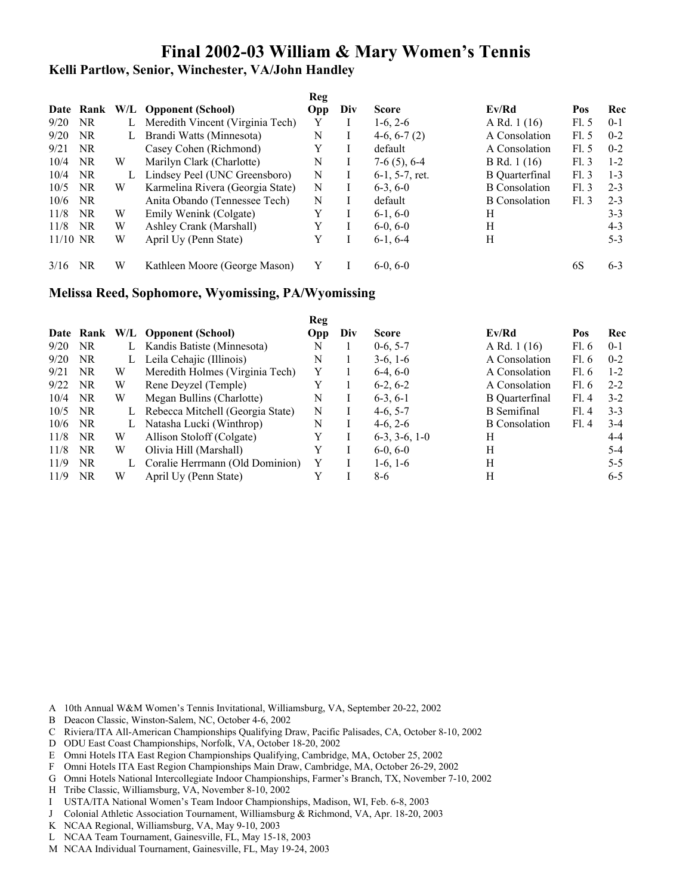**Kelli Partlow, Senior, Winchester, VA/John Handley**

|            |           |   |                                  | Reg        |     |                  |                       |      |         |
|------------|-----------|---|----------------------------------|------------|-----|------------------|-----------------------|------|---------|
|            | Date Rank |   | W/L Opponent (School)            | <b>Opp</b> | Div | <b>Score</b>     | Ev/Rd                 | Pos  | Rec     |
| 9/20       | NR.       |   | Meredith Vincent (Virginia Tech) | Y          |     | $1-6, 2-6$       | A Rd. $1(16)$         | F1.5 | $0 - 1$ |
| 9/20       | NR.       |   | Brandi Watts (Minnesota)         | N          |     | $4-6, 6-7(2)$    | A Consolation         | F1.5 | $0 - 2$ |
| 9/21       | NR.       |   | Casey Cohen (Richmond)           |            |     | default          | A Consolation         | FL.5 | $0 - 2$ |
| 10/4       | <b>NR</b> | W | Marilyn Clark (Charlotte)        | N          |     | $7-6(5)$ , 6-4   | <b>B</b> Rd. 1 (16)   | FL.3 | $1-2$   |
| 10/4       | NR.       |   | Lindsey Peel (UNC Greensboro)    | N          |     | $6-1, 5-7,$ ret. | <b>B</b> Quarterfinal | FL3  | $1 - 3$ |
| 10/5       | <b>NR</b> | W | Karmelina Rivera (Georgia State) | N          |     | $6-3, 6-0$       | <b>B</b> Consolation  | FL.3 | $2 - 3$ |
| 10/6       | <b>NR</b> |   | Anita Obando (Tennessee Tech)    | N          |     | default          | <b>B</b> Consolation  | FL.3 | $2 - 3$ |
| 11/8       | NR.       | W | Emily Wenink (Colgate)           | Y          |     | $6-1, 6-0$       | H                     |      | $3 - 3$ |
| 11/8       | NR        | W | Ashley Crank (Marshall)          |            |     | $6-0, 6-0$       | H                     |      | $4 - 3$ |
| $11/10$ NR |           | W | April Uy (Penn State)            | Y          |     | $6-1, 6-4$       | Н                     |      | $5-3$   |
| 3/16       | NR.       | W | Kathleen Moore (George Mason)    |            |     | $6-0, 6-0$       |                       | 6S   | $6 - 3$ |

### **Melissa Reed, Sophomore, Wyomissing, PA/Wyomissing**

|      |           |   |                                  | Reg |     |                 |                      |       |         |
|------|-----------|---|----------------------------------|-----|-----|-----------------|----------------------|-------|---------|
|      | Date Rank |   | W/L Opponent (School)            | Opp | Div | <b>Score</b>    | Ev/Rd                | Pos   | Rec     |
| 9/20 | NR.       | L | Kandis Batiste (Minnesota)       | N   |     | $0-6, 5-7$      | A Rd. $1(16)$        | Fl.6  | $0 - 1$ |
| 9/20 | NR.       |   | Leila Cehajic (Illinois)         | Ν   |     | $3-6, 1-6$      | A Consolation        | Fl.6  | $0 - 2$ |
| 9/21 | <b>NR</b> | W | Meredith Holmes (Virginia Tech)  |     |     | $6-4, 6-0$      | A Consolation        | F1.6  | $1 - 2$ |
| 9/22 | NR        | W | Rene Deyzel (Temple)             | Y   |     | $6-2, 6-2$      | A Consolation        | Fl. 6 | $2 - 2$ |
| 10/4 | <b>NR</b> | W | Megan Bullins (Charlotte)        | N   |     | $6-3, 6-1$      | B Quarterfinal       | F1.4  | $3-2$   |
| 10/5 | <b>NR</b> | L | Rebecca Mitchell (Georgia State) | N   |     | $4-6, 5-7$      | B Semifinal          | F1.4  | $3 - 3$ |
| 10/6 | NR.       |   | Natasha Lucki (Winthrop)         | N   |     | $4-6, 2-6$      | <b>B</b> Consolation | F1.4  | $3-4$   |
| 11/8 | <b>NR</b> | W | Allison Stoloff (Colgate)        | Y   |     | $6-3, 3-6, 1-0$ | H                    |       | $4 - 4$ |
| 11/8 | <b>NR</b> | W | Olivia Hill (Marshall)           | Y   |     | $6-0, 6-0$      | H                    |       | $5-4$   |
| 11/9 | NR.       |   | Coralie Herrmann (Old Dominion)  | Y   |     | $1-6, 1-6$      | H                    |       | $5 - 5$ |
| 11/9 | NR        | W | April Uy (Penn State)            |     |     | 8-6             | H                    |       | $6 - 5$ |

- A 10th Annual W&M Women's Tennis Invitational, Williamsburg, VA, September 20-22, 2002
- B Deacon Classic, Winston-Salem, NC, October 4-6, 2002
- C Riviera/ITA All-American Championships Qualifying Draw, Pacific Palisades, CA, October 8-10, 2002
- D ODU East Coast Championships, Norfolk, VA, October 18-20, 2002
- E Omni Hotels ITA East Region Championships Qualifying, Cambridge, MA, October 25, 2002
- F Omni Hotels ITA East Region Championships Main Draw, Cambridge, MA, October 26-29, 2002
- G Omni Hotels National Intercollegiate Indoor Championships, Farmer's Branch, TX, November 7-10, 2002
- H Tribe Classic, Williamsburg, VA, November 8-10, 2002
- I USTA/ITA National Women's Team Indoor Championships, Madison, WI, Feb. 6-8, 2003
- J Colonial Athletic Association Tournament, Williamsburg & Richmond, VA, Apr. 18-20, 2003
- K NCAA Regional, Williamsburg, VA, May 9-10, 2003
- L NCAA Team Tournament, Gainesville, FL, May 15-18, 2003
- M NCAA Individual Tournament, Gainesville, FL, May 19-24, 2003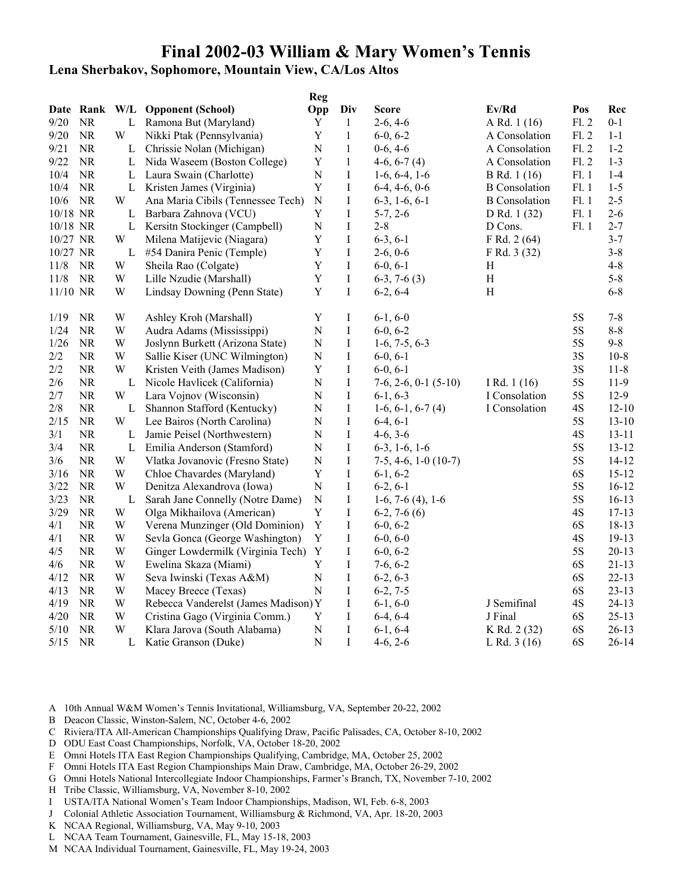### **Lena Sherbakov, Sophomore, Mountain View, CA/Los Altos**

|          |           |   |                                      | <b>Reg</b>              |              |                                |                      |               |           |
|----------|-----------|---|--------------------------------------|-------------------------|--------------|--------------------------------|----------------------|---------------|-----------|
|          |           |   | Date Rank W/L Opponent (School)      | Opp                     | Div          | <b>Score</b>                   | Ev/Rd                | Pos           | Rec       |
| 9/20     | <b>NR</b> |   | L Ramona But (Maryland)              | Y                       | $\mathbf{1}$ | $2-6, 4-6$                     | A Rd. 1 (16)         | F1.2          | $0 - 1$   |
| 9/20     | $\rm NR$  | W | Nikki Ptak (Pennsylvania)            | $\mathbf Y$             | $\mathbf{1}$ | $6-0, 6-2$                     | A Consolation        | F1.2          | $1 - 1$   |
| 9/21     | NR        | L | Chrissie Nolan (Michigan)            | N                       | $\mathbf{1}$ | $0-6, 4-6$                     | A Consolation        | F1.2          | $1 - 2$   |
| 9/22     | NR        | L | Nida Waseem (Boston College)         | Y                       | $\,1$        | $4-6, 6-7(4)$                  | A Consolation        | F1.2          | $1 - 3$   |
| 10/4     | NR        |   | L Laura Swain (Charlotte)            | ${\bf N}$               | $\bf I$      | $1-6, 6-4, 1-6$                | B Rd. 1 (16)         | F1.1          | $1-4$     |
| 10/4     | $\rm NR$  | L | Kristen James (Virginia)             | Y                       | $\bf{I}$     | $6-4, 4-6, 0-6$                | <b>B</b> Consolation | Fl.1          | $1 - 5$   |
| 10/6     | <b>NR</b> | W | Ana Maria Cibils (Tennessee Tech)    | ${\bf N}$               | $\mathbf I$  | $6-3$ , 1 $-6$ , $6-1$         | <b>B</b> Consolation | Fl.1          | $2 - 5$   |
| 10/18 NR |           | L | Barbara Zahnova (VCU)                | $\mathbf Y$             | I            | $5-7, 2-6$                     | D Rd. 1 (32)         | Fl.1          | $2 - 6$   |
| 10/18 NR |           | L | Kersitn Stockinger (Campbell)        | ${\bf N}$               | $\bf I$      | $2 - 8$                        | D Cons.              | F1.1          | $2 - 7$   |
| 10/27 NR |           | W | Milena Matijevic (Niagara)           | $\mathbf Y$             | $\bf{I}$     | $6-3, 6-1$                     | F Rd. 2 (64)         |               | $3 - 7$   |
| 10/27 NR |           | L | #54 Danira Penic (Temple)            | $\mathbf Y$             | $\mathbf I$  | $2-6, 0-6$                     | F Rd. 3 (32)         |               | $3 - 8$   |
| 11/8     | <b>NR</b> | W | Sheila Rao (Colgate)                 | $\mathbf Y$             | $\bf I$      | $6-0, 6-1$                     | H                    |               | $4 - 8$   |
| 11/8     | <b>NR</b> | W | Lille Nzudie (Marshall)              | $\mathbf Y$             | $\rm I$      | $6-3, 7-6(3)$                  | H                    |               | $5 - 8$   |
| 11/10 NR |           | W | Lindsay Downing (Penn State)         | Y                       | I            | $6-2, 6-4$                     | H                    |               | $6 - 8$   |
| 1/19     | <b>NR</b> | W | Ashley Kroh (Marshall)               | Y                       | $\bf{I}$     | $6-1, 6-0$                     |                      | 5S            | $7 - 8$   |
| 1/24     | <b>NR</b> | W | Audra Adams (Mississippi)            | ${\bf N}$               | $\rm I$      | $6-0, 6-2$                     |                      | 5S            | $8-8$     |
| 1/26     | <b>NR</b> | W | Joslynn Burkett (Arizona State)      | ${\bf N}$               | I            | $1-6, 7-5, 6-3$                |                      | 5S            | $9 - 8$   |
| $2/2$    | <b>NR</b> | W | Sallie Kiser (UNC Wilmington)        | ${\bf N}$               | I            | $6-0, 6-1$                     |                      | 3S            | $10 - 8$  |
| $2/2$    | <b>NR</b> | W | Kristen Veith (James Madison)        | $\mathbf Y$             | $\bf I$      | $6-0, 6-1$                     |                      | 3S            | $11 - 8$  |
| 2/6      | NR        | L | Nicole Havlicek (California)         | ${\bf N}$               | $\rm I$      | $7-6$ , $2-6$ , $0-1$ $(5-10)$ | I Rd. $1(16)$        | 5S            | 11-9      |
| 2/7      | NR.       | W | Lara Vojnov (Wisconsin)              | $\ensuremath{\text{N}}$ | I            | $6-1, 6-3$                     | I Consolation        | 5S            | $12-9$    |
| $2/8$    | <b>NR</b> | L | Shannon Stafford (Kentucky)          | N                       | $\rm I$      | $1-6, 6-1, 6-7(4)$             | I Consolation        | 4S            | $12 - 10$ |
| 2/15     | $\rm NR$  | W | Lee Bairos (North Carolina)          | $\mathbf N$             | I            | $6-4, 6-1$                     |                      | 5S            | $13 - 10$ |
| 3/1      | NR        | L | Jamie Peisel (Northwestern)          | $\mathbf N$             | $\rm I$      | $4-6, 3-6$                     |                      | 4S            | $13 - 11$ |
| 3/4      | <b>NR</b> | L | Emilia Anderson (Stamford)           | $\mathbf N$             | I            | $6-3, 1-6, 1-6$                |                      | 5S            | $13 - 12$ |
| 3/6      | <b>NR</b> | W | Vlatka Jovanovic (Fresno State)      | ${\bf N}$               | I            | $7-5, 4-6, 1-0(10-7)$          |                      | 5S            | $14 - 12$ |
| 3/16     | $\rm NR$  | W | Chloe Chavardes (Maryland)           | $\mathbf Y$             | $\bf I$      | $6-1, 6-2$                     |                      | 6S            | $15 - 12$ |
| 3/22     | NR        | W | Denitza Alexandrova (Iowa)           | ${\bf N}$               | $\rm I$      | $6-2, 6-1$                     |                      | 5S            | $16 - 12$ |
| 3/23     | <b>NR</b> | L | Sarah Jane Connelly (Notre Dame)     | ${\bf N}$               | I            | $1-6, 7-6(4), 1-6$             |                      | 5S            | $16 - 13$ |
| 3/29     | NR        | W | Olga Mikhailova (American)           | Y                       | $\rm I$      | $6-2, 7-6(6)$                  |                      | 4S            | $17 - 13$ |
| 4/1      | <b>NR</b> | W | Verena Munzinger (Old Dominion)      | $\mathbf Y$             | I            | $6-0, 6-2$                     |                      | 6S            | $18 - 13$ |
| 4/1      | <b>NR</b> | W | Sevla Gonca (George Washington)      | $\mathbf Y$             | $\rm I$      | $6-0, 6-0$                     |                      | 4S            | $19 - 13$ |
| 4/5      | <b>NR</b> | W | Ginger Lowdermilk (Virginia Tech)    | Y                       | I            | $6-0, 6-2$                     |                      | 5S            | $20 - 13$ |
| 4/6      | <b>NR</b> | W | Ewelina Skaza (Miami)                | $\mathbf Y$             | I            | $7-6, 6-2$                     |                      | 6S            | $21 - 13$ |
| 4/12     | <b>NR</b> | W | Seva Iwinski (Texas A&M)             | ${\bf N}$               | I            | $6-2, 6-3$                     |                      | 6S            | $22 - 13$ |
| 4/13     | NR        | W | Macey Breece (Texas)                 | ${\bf N}$               | $\rm I$      | $6-2, 7-5$                     |                      | 6S            | $23 - 13$ |
| 4/19     | NR        | W | Rebecca Vanderelst (James Madison) Y |                         | I            | $6-1, 6-0$                     | J Semifinal          | $4\mathrm{S}$ | $24 - 13$ |
| 4/20     | NR        | W | Cristina Gago (Virginia Comm.)       | Y                       | I            | $6-4, 6-4$                     | J Final              | 6S            | $25 - 13$ |
| 5/10     | $\rm NR$  | W | Klara Jarova (South Alabama)         | $\mathbf N$             | $\bf I$      | $6-1, 6-4$                     | K Rd. 2 (32)         | 6S            | $26 - 13$ |
| $5/15$   | $\rm NR$  | L | Katie Granson (Duke)                 | $\mathbf N$             | $\rm I$      | $4-6, 2-6$                     | L Rd. $3(16)$        | 6S            | $26 - 14$ |

- A 10th Annual W&M Women's Tennis Invitational, Williamsburg, VA, September 20-22, 2002
- B Deacon Classic, Winston-Salem, NC, October 4-6, 2002
- C Riviera/ITA All-American Championships Qualifying Draw, Pacific Palisades, CA, October 8-10, 2002
- D ODU East Coast Championships, Norfolk, VA, October 18-20, 2002
- E Omni Hotels ITA East Region Championships Qualifying, Cambridge, MA, October 25, 2002
- F Omni Hotels ITA East Region Championships Main Draw, Cambridge, MA, October 26-29, 2002
- G Omni Hotels National Intercollegiate Indoor Championships, Farmer's Branch, TX, November 7-10, 2002
- H Tribe Classic, Williamsburg, VA, November 8-10, 2002
- I USTA/ITA National Women's Team Indoor Championships, Madison, WI, Feb. 6-8, 2003
- J Colonial Athletic Association Tournament, Williamsburg & Richmond, VA, Apr. 18-20, 2003
- K NCAA Regional, Williamsburg, VA, May 9-10, 2003
- L NCAA Team Tournament, Gainesville, FL, May 15-18, 2003
- M NCAA Individual Tournament, Gainesville, FL, May 19-24, 2003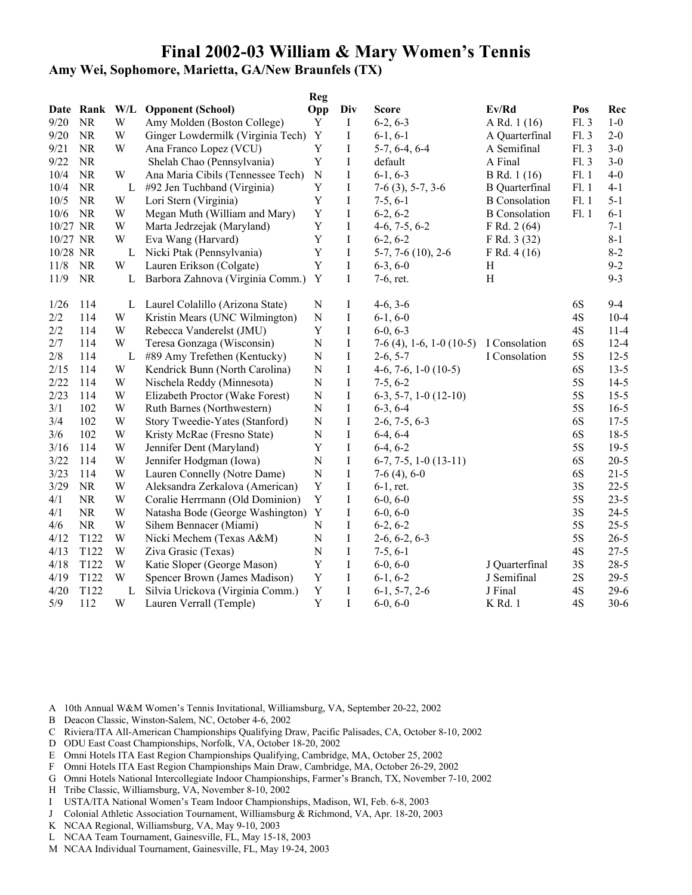**Amy Wei, Sophomore, Marietta, GA/New Braunfels (TX)**

|          |                  |              |                                   | <b>Reg</b>  |             |                            |                       |      |          |
|----------|------------------|--------------|-----------------------------------|-------------|-------------|----------------------------|-----------------------|------|----------|
|          | Date Rank W/L    |              | <b>Opponent (School)</b>          | Opp         | Div         | <b>Score</b>               | Ev/Rd                 | Pos  | Rec      |
| 9/20     | NR               | W            | Amy Molden (Boston College)       | Y           | Ι           | $6-2, 6-3$                 | A Rd. 1 (16)          | F1.3 | $1-0$    |
| 9/20     | <b>NR</b>        | W            | Ginger Lowdermilk (Virginia Tech) | $\mathbf Y$ | $\bf{I}$    | $6-1, 6-1$                 | A Quarterfinal        | F1.3 | $2 - 0$  |
| 9/21     | <b>NR</b>        | W            | Ana Franco Lopez (VCU)            | $\mathbf Y$ | $\bf I$     | $5-7, 6-4, 6-4$            | A Semifinal           | F1.3 | $3 - 0$  |
| 9/22     | <b>NR</b>        |              | Shelah Chao (Pennsylvania)        | $\mathbf Y$ | $\bf I$     | default                    | A Final               | F1.3 | $3 - 0$  |
| 10/4     | <b>NR</b>        | W            | Ana Maria Cibils (Tennessee Tech) | ${\bf N}$   | $\mathbf I$ | $6-1, 6-3$                 | B Rd. 1 (16)          | F1.1 | $4 - 0$  |
| 10/4     | <b>NR</b>        | L            | #92 Jen Tuchband (Virginia)       | Y           | I           | $7-6$ (3), 5-7, 3-6        | <b>B</b> Quarterfinal | F1.1 | $4 - 1$  |
| 10/5     | <b>NR</b>        | W            | Lori Stern (Virginia)             | Y           | $\rm I$     | $7-5, 6-1$                 | <b>B</b> Consolation  | F1.1 | $5 - 1$  |
| 10/6     | <b>NR</b>        | W            | Megan Muth (William and Mary)     | $\mathbf Y$ | $\rm I$     | $6-2, 6-2$                 | <b>B</b> Consolation  | F1.1 | $6 - 1$  |
| 10/27 NR |                  | W            | Marta Jedrzejak (Maryland)        | $\mathbf Y$ | $\bf{I}$    | $4-6, 7-5, 6-2$            | F Rd. 2(64)           |      | $7 - 1$  |
| 10/27 NR |                  | W            | Eva Wang (Harvard)                | $\mathbf Y$ | $\bf{I}$    | $6-2, 6-2$                 | F Rd. 3 (32)          |      | $8 - 1$  |
| 10/28 NR |                  | $\mathbf{L}$ | Nicki Ptak (Pennsylvania)         | $\mathbf Y$ | $\rm I$     | $5-7, 7-6$ (10), 2-6       | F Rd. 4 (16)          |      | $8 - 2$  |
| 11/8     | <b>NR</b>        | W            | Lauren Erikson (Colgate)          | $\mathbf Y$ | $\rm I$     | $6-3, 6-0$                 | Η                     |      | $9 - 2$  |
| 11/9     | <b>NR</b>        | L            | Barbora Zahnova (Virginia Comm.)  | Y           | I           | 7-6, ret.                  | H                     |      | $9 - 3$  |
| 1/26     | 114              | L            | Laurel Colalillo (Arizona State)  | ${\bf N}$   | I           | $4-6, 3-6$                 |                       | 6S   | $9 - 4$  |
| 2/2      | 114              | W            | Kristin Mears (UNC Wilmington)    | ${\bf N}$   | I           | $6-1, 6-0$                 |                       | 4S   | $10 - 4$ |
| 2/2      | 114              | W            | Rebecca Vanderelst (JMU)          | $\mathbf Y$ | $\bf I$     | $6-0, 6-3$                 |                       | 4S   | $11-4$   |
| 2/7      | 114              | W            | Teresa Gonzaga (Wisconsin)        | ${\bf N}$   | $\bf I$     | $7-6$ (4), 1-6, 1-0 (10-5) | I Consolation         | 6S   | $12 - 4$ |
| 2/8      | 114              | L            | #89 Amy Trefethen (Kentucky)      | ${\bf N}$   | I           | $2-6, 5-7$                 | I Consolation         | 5S   | $12 - 5$ |
| 2/15     | 114              | W            | Kendrick Bunn (North Carolina)    | ${\bf N}$   | I           | $4-6, 7-6, 1-0(10-5)$      |                       | 6S   | $13 - 5$ |
| 2/22     | 114              | W            | Nischela Reddy (Minnesota)        | ${\bf N}$   | $\bf{I}$    | $7-5, 6-2$                 |                       | 5S   | $14-5$   |
| 2/23     | 114              | W            | Elizabeth Proctor (Wake Forest)   | ${\bf N}$   | $\bf{I}$    | $6-3, 5-7, 1-0(12-10)$     |                       | 5S   | $15 - 5$ |
| 3/1      | 102              | W            | Ruth Barnes (Northwestern)        | ${\bf N}$   | $\rm I$     | $6-3, 6-4$                 |                       | 5S   | $16 - 5$ |
| 3/4      | 102              | W            | Story Tweedie-Yates (Stanford)    | ${\bf N}$   | I           | $2-6, 7-5, 6-3$            |                       | 6S   | $17 - 5$ |
| 3/6      | 102              | W            | Kristy McRae (Fresno State)       | ${\bf N}$   | $\bf{I}$    | $6-4, 6-4$                 |                       | 6S   | $18-5$   |
| 3/16     | 114              | W            | Jennifer Dent (Maryland)          | $\mathbf Y$ | $\rm I$     | $6-4, 6-2$                 |                       | 5S   | $19-5$   |
| 3/22     | 114              | W            | Jennifer Hodgman (Iowa)           | ${\bf N}$   | $\bf I$     | $6-7, 7-5, 1-0(13-11)$     |                       | 6S   | $20 - 5$ |
| 3/23     | 114              | W            | Lauren Connelly (Notre Dame)      | ${\bf N}$   | $\bf I$     | $7-6(4)$ , 6-0             |                       | 6S   | $21 - 5$ |
| 3/29     | <b>NR</b>        | W            | Aleksandra Zerkalova (American)   | Y           | $\bf{I}$    | $6-1$ , ret.               |                       | 3S   | $22 - 5$ |
| 4/1      | NR               | W            | Coralie Herrmann (Old Dominion)   | $\mathbf Y$ | $\bf I$     | $6-0, 6-0$                 |                       | 5S   | $23 - 5$ |
| 4/1      | <b>NR</b>        | W            | Natasha Bode (George Washington)  | $\mathbf Y$ | $\bf I$     | $6-0, 6-0$                 |                       | 3S   | $24 - 5$ |
| 4/6      | <b>NR</b>        | W            | Sihem Bennacer (Miami)            | ${\bf N}$   | $\bf I$     | $6-2, 6-2$                 |                       | 5S   | $25 - 5$ |
| 4/12     | T122             | W            | Nicki Mechem (Texas A&M)          | ${\bf N}$   | $\rm I$     | $2-6, 6-2, 6-3$            |                       | 5S   | $26 - 5$ |
| 4/13     | T122             | W            | Ziva Grasic (Texas)               | ${\bf N}$   | I           | $7-5, 6-1$                 |                       | 4S   | $27 - 5$ |
| 4/18     | T122             | W            | Katie Sloper (George Mason)       | $\mathbf Y$ | $\bf{I}$    | $6-0, 6-0$                 | J Quarterfinal        | 3S   | $28 - 5$ |
| 4/19     | T122             | W            | Spencer Brown (James Madison)     | Y           | $\bf{I}$    | $6-1, 6-2$                 | J Semifinal           | $2S$ | $29 - 5$ |
| 4/20     | T <sub>122</sub> | L            | Silvia Urickova (Virginia Comm.)  | $\mathbf Y$ | I           | $6-1, 5-7, 2-6$            | J Final               | 4S   | $29 - 6$ |
| 5/9      | 112              | W            | Lauren Verrall (Temple)           | $\mathbf Y$ | I           | $6-0, 6-0$                 | K Rd. 1               | 4S   | $30 - 6$ |

- B Deacon Classic, Winston-Salem, NC, October 4-6, 2002
- C Riviera/ITA All-American Championships Qualifying Draw, Pacific Palisades, CA, October 8-10, 2002
- D ODU East Coast Championships, Norfolk, VA, October 18-20, 2002
- E Omni Hotels ITA East Region Championships Qualifying, Cambridge, MA, October 25, 2002
- F Omni Hotels ITA East Region Championships Main Draw, Cambridge, MA, October 26-29, 2002
- G Omni Hotels National Intercollegiate Indoor Championships, Farmer's Branch, TX, November 7-10, 2002
- H Tribe Classic, Williamsburg, VA, November 8-10, 2002
- I USTA/ITA National Women's Team Indoor Championships, Madison, WI, Feb. 6-8, 2003
- J Colonial Athletic Association Tournament, Williamsburg & Richmond, VA, Apr. 18-20, 2003
- K NCAA Regional, Williamsburg, VA, May 9-10, 2003
- L NCAA Team Tournament, Gainesville, FL, May 15-18, 2003
- M NCAA Individual Tournament, Gainesville, FL, May 19-24, 2003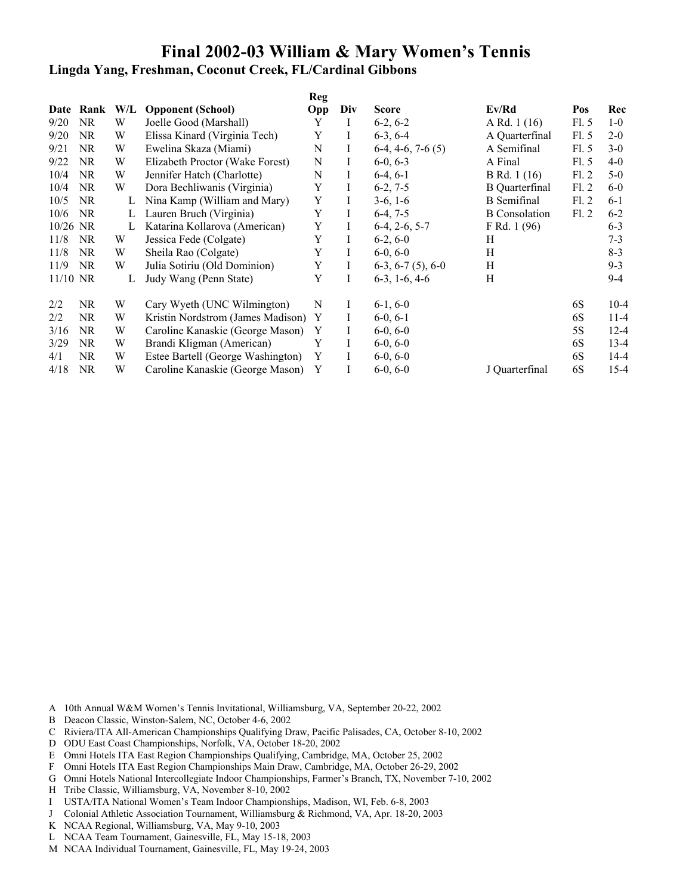**Lingda Yang, Freshman, Coconut Creek, FL/Cardinal Gibbons**

|            |           |     |                                   | <b>Reg</b> |          |                         |                       |      |          |
|------------|-----------|-----|-----------------------------------|------------|----------|-------------------------|-----------------------|------|----------|
|            | Date Rank | W/L | <b>Opponent</b> (School)          | Opp        | Div      | <b>Score</b>            | Ev/Rd                 | Pos  | Rec      |
| 9/20       | <b>NR</b> | W   | Joelle Good (Marshall)            | Y          | L        | $6-2, 6-2$              | A Rd. 1 (16)          | FL.5 | $1-0$    |
| 9/20       | <b>NR</b> | W   | Elissa Kinard (Virginia Tech)     | Y          | Ι        | $6-3, 6-4$              | A Quarterfinal        | F1.5 | $2 - 0$  |
| 9/21       | <b>NR</b> | W   | Ewelina Skaza (Miami)             | N          | Ι        | $6-4, 4-6, 7-6(5)$      | A Semifinal           | F1.5 | $3-0$    |
| 9/22       | <b>NR</b> | W   | Elizabeth Proctor (Wake Forest)   | N          | Ι        | $6-0, 6-3$              | A Final               | F1.5 | $4 - 0$  |
| 10/4       | NR.       | W   | Jennifer Hatch (Charlotte)        | N          | Ι        | $6-4, 6-1$              | B Rd. 1 (16)          | F1.2 | $5-0$    |
| 10/4       | <b>NR</b> | W   | Dora Bechliwanis (Virginia)       | Y          | Ι        | $6-2, 7-5$              | <b>B</b> Quarterfinal | F1.2 | $6-0$    |
| 10/5       | <b>NR</b> | L   | Nina Kamp (William and Mary)      | Y          | L        | $3-6, 1-6$              | <b>B</b> Semifinal    | F1.2 | $6 - 1$  |
| 10/6       | <b>NR</b> | L   | Lauren Bruch (Virginia)           | Y          | Ι        | $6-4, 7-5$              | <b>B</b> Consolation  | FL2  | $6 - 2$  |
| $10/26$ NR |           | L   | Katarina Kollarova (American)     | Y          | Ι        | $6-4, 2-6, 5-7$         | F Rd. 1 (96)          |      | $6 - 3$  |
| 11/8       | <b>NR</b> | W   | Jessica Fede (Colgate)            | Y          | L        | $6-2, 6-0$              | Н                     |      | $7 - 3$  |
| 11/8       | <b>NR</b> | W   | Sheila Rao (Colgate)              | Y          | L        | $6-0, 6-0$              | H                     |      | $8 - 3$  |
| 11/9       | <b>NR</b> | W   | Julia Sotiriu (Old Dominion)      | Y          | Ι        | $6-3, 6-7(5), 6-0$      | Η                     |      | $9 - 3$  |
| $11/10$ NR |           | L   | Judy Wang (Penn State)            | Y          | Ι        | $6-3$ , 1 $-6$ , 4 $-6$ | Н                     |      | $9-4$    |
| 2/2        | NR.       | W   | Cary Wyeth (UNC Wilmington)       | N          | Ι        | $6-1, 6-0$              |                       | 6S   | $10-4$   |
| 2/2        | NR.       | W   | Kristin Nordstrom (James Madison) | Y          | $\bf{l}$ | $6-0, 6-1$              |                       | 6S   | $11 - 4$ |
| 3/16       | NR.       | W   | Caroline Kanaskie (George Mason)  | Y          | Ι        | $6-0, 6-0$              |                       | 5S   | $12 - 4$ |
| 3/29       | <b>NR</b> | W   | Brandi Kligman (American)         | Y          | L        | $6-0, 6-0$              |                       | 6S   | $13 - 4$ |
| 4/1        | NR.       | W   | Estee Bartell (George Washington) | Y          | Ι        | $6-0, 6-0$              |                       | 6S   | $14 - 4$ |
| 4/18       | <b>NR</b> | W   | Caroline Kanaskie (George Mason)  | Y          | Ι        | $6-0, 6-0$              | J Quarterfinal        | 6S   | $15 - 4$ |

- A 10th Annual W&M Women's Tennis Invitational, Williamsburg, VA, September 20-22, 2002
- B Deacon Classic, Winston-Salem, NC, October 4-6, 2002
- C Riviera/ITA All-American Championships Qualifying Draw, Pacific Palisades, CA, October 8-10, 2002
- D ODU East Coast Championships, Norfolk, VA, October 18-20, 2002
- E Omni Hotels ITA East Region Championships Qualifying, Cambridge, MA, October 25, 2002
- F Omni Hotels ITA East Region Championships Main Draw, Cambridge, MA, October 26-29, 2002
- G Omni Hotels National Intercollegiate Indoor Championships, Farmer's Branch, TX, November 7-10, 2002
- H Tribe Classic, Williamsburg, VA, November 8-10, 2002
- I USTA/ITA National Women's Team Indoor Championships, Madison, WI, Feb. 6-8, 2003
- J Colonial Athletic Association Tournament, Williamsburg & Richmond, VA, Apr. 18-20, 2003
- K NCAA Regional, Williamsburg, VA, May 9-10, 2003
- L NCAA Team Tournament, Gainesville, FL, May 15-18, 2003
- M NCAA Individual Tournament, Gainesville, FL, May 19-24, 2003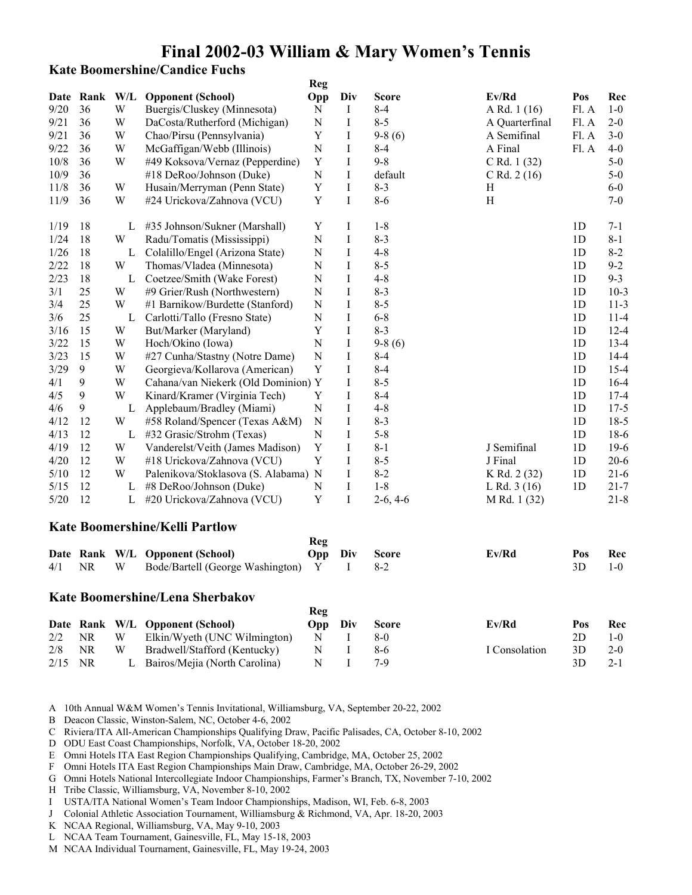### **Kate Boomershine/Candice Fuchs**

|      |           |     |                                       | Reg            |          |              |                           |                |          |
|------|-----------|-----|---------------------------------------|----------------|----------|--------------|---------------------------|----------------|----------|
| Date | Rank      | W/L | <b>Opponent (School)</b>              | Opp            | Div      | <b>Score</b> | Ev/Rd                     | Pos            | Rec      |
| 9/20 | 36        | W   | Buergis/Cluskey (Minnesota)           | N              | Ι        | $8 - 4$      | A Rd. 1 (16)              | Fl. A          | $1-0$    |
| 9/21 | 36        | W   | DaCosta/Rutherford (Michigan)         | $\mathbf N$    | I        | $8 - 5$      | A Quarterfinal            | Fl. A          | $2 - 0$  |
| 9/21 | 36        | W   | Chao/Pirsu (Pennsylvania)             | Y              | Ι        | $9-8(6)$     | A Semifinal               | Fl. A          | $3-0$    |
| 9/22 | 36        | W   | McGaffigan/Webb (Illinois)            | N              | I        | $8 - 4$      | A Final                   | Fl. A          | $4 - 0$  |
| 10/8 | 36        | W   | #49 Koksova/Vernaz (Pepperdine)       | $\mathbf Y$    | $\bf{I}$ | $9 - 8$      | $C$ Rd. 1 $(32)$          |                | $5-0$    |
| 10/9 | 36        |     | #18 DeRoo/Johnson (Duke)              | N              | Ι        | default      | C Rd. $2(16)$             |                | $5-0$    |
| 11/8 | 36        | W   | Husain/Merryman (Penn State)          | Y              | I        | $8 - 3$      | H                         |                | $6-0$    |
| 11/9 | 36        | W   | #24 Urickova/Zahnova (VCU)            | Y              | $\bf I$  | $8 - 6$      | $\boldsymbol{\mathrm{H}}$ |                | $7 - 0$  |
| 1/19 | 18        | L   | #35 Johnson/Sukner (Marshall)         | Y              | Ι        | $1 - 8$      |                           | 1 <sub>D</sub> | $7 - 1$  |
| 1/24 | 18        | W   | Radu/Tomatis (Mississippi)            | $\mathbf N$    | I        | $8 - 3$      |                           | 1 <sub>D</sub> | $8 - 1$  |
| 1/26 | 18        | L   | Colalillo/Engel (Arizona State)       | $\overline{N}$ | I        | $4 - 8$      |                           | 1 <sub>D</sub> | $8 - 2$  |
| 2/22 | 18        | W   | Thomas/Vladea (Minnesota)             | N              | I        | $8 - 5$      |                           | 1 <sub>D</sub> | $9 - 2$  |
| 2/23 | 18        | L   | Coetzee/Smith (Wake Forest)           | N              | I        | $4 - 8$      |                           | 1 <sub>D</sub> | $9 - 3$  |
| 3/1  | 25        | W   | #9 Grier/Rush (Northwestern)          | $\overline{N}$ | I        | $8 - 3$      |                           | 1 <sub>D</sub> | $10-3$   |
| 3/4  | 25        | W   | #1 Barnikow/Burdette (Stanford)       | N              | $\rm I$  | $8 - 5$      |                           | 1 <sub>D</sub> | $11-3$   |
| 3/6  | 25        | L   | Carlotti/Tallo (Fresno State)         | $\overline{N}$ | I        | $6 - 8$      |                           | 1 <sub>D</sub> | $11 - 4$ |
| 3/16 | 15        | W   | But/Marker (Maryland)                 | Y              | I        | $8 - 3$      |                           | 1 <sub>D</sub> | $12 - 4$ |
| 3/22 | 15        | W   | Hoch/Okino (Iowa)                     | N              | I        | $9-8(6)$     |                           | 1 <sub>D</sub> | $13 - 4$ |
| 3/23 | 15        | W   | #27 Cunha/Stastny (Notre Dame)        | N              | I        | $8 - 4$      |                           | 1 <sub>D</sub> | $14 - 4$ |
| 3/29 | 9         | W   | Georgieva/Kollarova (American)        | Y              | I        | $8 - 4$      |                           | 1 <sub>D</sub> | $15 - 4$ |
| 4/1  | 9         | W   | Cahana/van Niekerk (Old Dominion) Y   |                | I        | $8 - 5$      |                           | 1 <sub>D</sub> | $16-4$   |
| 4/5  | 9         | W   | Kinard/Kramer (Virginia Tech)         | Y              | I        | $8 - 4$      |                           | 1 <sub>D</sub> | $17 - 4$ |
| 4/6  | 9         | L   | Applebaum/Bradley (Miami)             | N              | I        | $4 - 8$      |                           | 1 <sub>D</sub> | $17 - 5$ |
| 4/12 | 12        | W   | #58 Roland/Spencer (Texas A&M)        | N              | I        | $8 - 3$      |                           | 1D             | $18-5$   |
| 4/13 | 12        | L   | #32 Grasic/Strohm (Texas)             | N              | I        | $5 - 8$      |                           | 1 <sub>D</sub> | $18-6$   |
| 4/19 | 12        | W   | Vanderelst/Veith (James Madison)      | Y              | I        | $8 - 1$      | J Semifinal               | 1 <sub>D</sub> | $19-6$   |
| 4/20 | 12        | W   | #18 Urickova/Zahnova (VCU)            | Y              | I        | $8 - 5$      | J Final                   | 1D             | $20 - 6$ |
| 5/10 | 12        | W   | Palenikova/Stoklasova (S. Alabama) N  |                | I        | $8 - 2$      | K Rd. 2 (32)              | 1 <sub>D</sub> | $21-6$   |
| 5/15 | 12        | L   | #8 DeRoo/Johnson (Duke)               | N              | I        | $1 - 8$      | L Rd. $3(16)$             | 1 <sub>D</sub> | $21 - 7$ |
| 5/20 | 12        | L   | #20 Urickova/Zahnova (VCU)            | Y              | I        | $2-6, 4-6$   | M Rd. 1 (32)              |                | $21 - 8$ |
|      |           |     | <b>Kate Boomershine/Kelli Partlow</b> |                |          |              |                           |                |          |
|      |           |     |                                       | <b>Reg</b>     |          |              |                           |                |          |
|      | Date Rank | W/L | <b>Opponent (School)</b>              | Opp            | Div      | <b>Score</b> | Ev/Rd                     | Pos            | Rec      |
| 4/1  | <b>NR</b> | W   | Bode/Bartell (George Washington)      | Y              | $\bf{I}$ | $8 - 2$      |                           | 3D             | $1-0$    |

### **Kate Boomershine/Lena Sherbakov**

|           |          |    |                                 | Reg     |       |               |      |         |
|-----------|----------|----|---------------------------------|---------|-------|---------------|------|---------|
|           |          |    | Date Rank W/L Opponent (School) | Opp Div | Score | Ev/Rd         | Pos  | Rec     |
|           | $2/2$ NR | W. | Elkin/Wyeth (UNC Wilmington)    | N       |       |               | 2D   | $1-0$   |
| $2/8$ NR  |          | W  | Bradwell/Stafford (Kentucky)    | N       | 8-6   | I Consolation | 3D   | $2 - 0$ |
| $2/15$ NR |          |    | L Bairos/Mejia (North Carolina) | N.      |       |               | -3D. | $2 - 1$ |

A 10th Annual W&M Women's Tennis Invitational, Williamsburg, VA, September 20-22, 2002

B Deacon Classic, Winston-Salem, NC, October 4-6, 2002

C Riviera/ITA All-American Championships Qualifying Draw, Pacific Palisades, CA, October 8-10, 2002

D ODU East Coast Championships, Norfolk, VA, October 18-20, 2002

E Omni Hotels ITA East Region Championships Qualifying, Cambridge, MA, October 25, 2002

- F Omni Hotels ITA East Region Championships Main Draw, Cambridge, MA, October 26-29, 2002
- G Omni Hotels National Intercollegiate Indoor Championships, Farmer's Branch, TX, November 7-10, 2002

H Tribe Classic, Williamsburg, VA, November 8-10, 2002

I USTA/ITA National Women's Team Indoor Championships, Madison, WI, Feb. 6-8, 2003

J Colonial Athletic Association Tournament, Williamsburg & Richmond, VA, Apr. 18-20, 2003

- K NCAA Regional, Williamsburg, VA, May 9-10, 2003
- L NCAA Team Tournament, Gainesville, FL, May 15-18, 2003
- M NCAA Individual Tournament, Gainesville, FL, May 19-24, 2003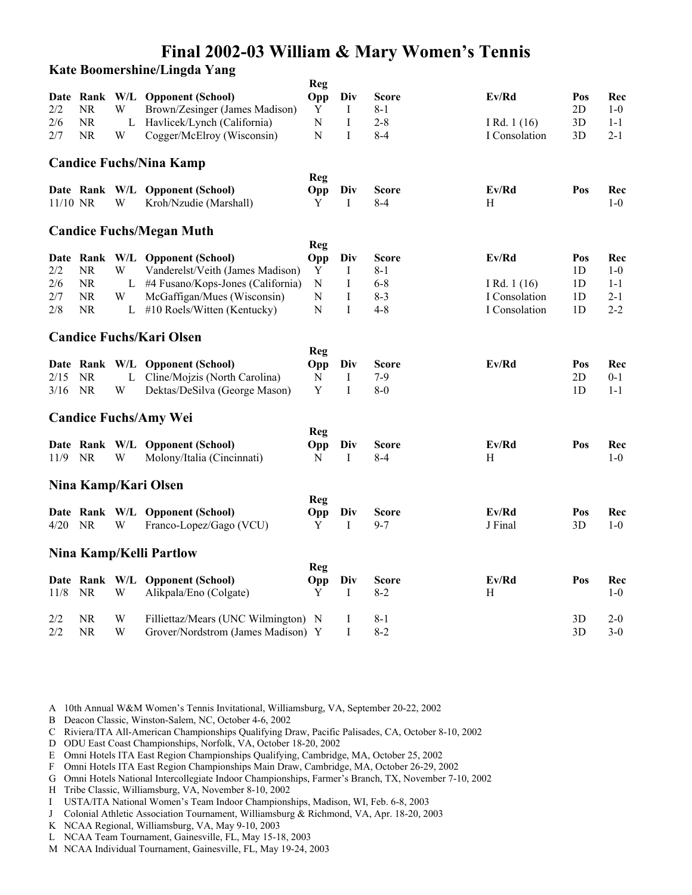**Kate Boomershine/Lingda Yang**

|            |           |              |                                     | <b>Reg</b>  |             |              |               |                |         |
|------------|-----------|--------------|-------------------------------------|-------------|-------------|--------------|---------------|----------------|---------|
|            |           |              | Date Rank W/L Opponent (School)     | Opp         | Div         | Score        | Ev/Rd         | Pos            | Rec     |
| 2/2        | <b>NR</b> | W            | Brown/Zesinger (James Madison)      | Y           | Ι           | $8 - 1$      |               | 2D             | $1-0$   |
| 2/6        | NR        | $\mathbf{L}$ | Havlicek/Lynch (California)         | ${\bf N}$   | $\bf I$     | $2 - 8$      | I Rd. $1(16)$ | 3D             | $1 - 1$ |
| 2/7        | NR        | W            | Cogger/McElroy (Wisconsin)          | $\mathbf N$ | I           | $8 - 4$      | I Consolation | 3D             | $2 - 1$ |
|            |           |              | <b>Candice Fuchs/Nina Kamp</b>      |             |             |              |               |                |         |
|            |           |              |                                     | Reg         |             |              |               |                |         |
|            |           |              | Date Rank W/L Opponent (School)     | Opp         | Div         | <b>Score</b> | Ev/Rd         | Pos            | Rec     |
| $11/10$ NR |           | W            | Kroh/Nzudie (Marshall)              | Y           | I           | $8-4$        | H             |                | $1-0$   |
|            |           |              | <b>Candice Fuchs/Megan Muth</b>     |             |             |              |               |                |         |
|            |           |              |                                     | Reg         |             |              |               |                |         |
|            |           |              | Date Rank W/L Opponent (School)     | Opp         | Div         | <b>Score</b> | Ev/Rd         | Pos            | Rec     |
| 2/2        | <b>NR</b> | W            | Vanderelst/Veith (James Madison)    | Y           | I           | $8 - 1$      |               | 1 <sub>D</sub> | $1-0$   |
| 2/6        | <b>NR</b> | L            | #4 Fusano/Kops-Jones (California)   | N           | Ι           | $6 - 8$      | I Rd. $1(16)$ | 1D             | $1 - 1$ |
| 2/7        | <b>NR</b> | W            | McGaffigan/Mues (Wisconsin)         | $\mathbf N$ | $\mathbf I$ | $8 - 3$      | I Consolation | 1D             | $2 - 1$ |
| 2/8        | NR        | L            | #10 Roels/Witten (Kentucky)         | $\mathbf N$ | I           | $4 - 8$      | I Consolation | 1 <sub>D</sub> | $2 - 2$ |
|            |           |              | <b>Candice Fuchs/Kari Olsen</b>     |             |             |              |               |                |         |
|            |           |              |                                     | <b>Reg</b>  |             |              |               |                |         |
|            |           |              | Date Rank W/L Opponent (School)     | Opp         | Div         | <b>Score</b> | Ev/Rd         | Pos            | Rec     |
| 2/15       | NR.       | L            | Cline/Mojzis (North Carolina)       | N           | Ι           | $7-9$        |               | 2D             | $0 - 1$ |
| 3/16       | <b>NR</b> | W            | Dektas/DeSilva (George Mason)       | Y           | I           | $8-0$        |               | 1 <sub>D</sub> | $1 - 1$ |
|            |           |              | <b>Candice Fuchs/Amy Wei</b>        |             |             |              |               |                |         |
|            |           |              |                                     | Reg         |             |              |               |                |         |
|            |           |              | Date Rank W/L Opponent (School)     | Opp         | Div         | <b>Score</b> | Ev/Rd         | Pos            | Rec     |
| 11/9       | <b>NR</b> | W            | Molony/Italia (Cincinnati)          | N           | I           | $8 - 4$      | H             |                | $1-0$   |
|            |           |              |                                     |             |             |              |               |                |         |
|            |           |              | Nina Kamp/Kari Olsen                |             |             |              |               |                |         |
|            |           |              |                                     | Reg         |             |              |               |                |         |
|            |           |              | Date Rank W/L Opponent (School)     | Opp         | Div         | <b>Score</b> | Ev/Rd         | Pos            | Rec     |
| 4/20       | <b>NR</b> | W            | Franco-Lopez/Gago (VCU)             | Y           | I           | $9 - 7$      | J Final       | 3D             | $1-0$   |
|            |           |              | Nina Kamp/Kelli Partlow             |             |             |              |               |                |         |
|            |           |              |                                     | Reg         |             |              |               |                |         |
|            |           |              | Date Rank W/L Opponent (School)     | Opp         | Div         | <b>Score</b> | Ev/Rd         | Pos            | Rec     |
| 11/8       | <b>NR</b> | W            | Alikpala/Eno (Colgate)              | Y           | I           | $8 - 2$      | H             |                | $1-0$   |
| 2/2        | <b>NR</b> | W            | Filliettaz/Mears (UNC Wilmington) N |             | Ι           | $8 - 1$      |               | 3D             | $2 - 0$ |
| 2/2        | <b>NR</b> | W            | Grover/Nordstrom (James Madison) Y  |             | I           | $8 - 2$      |               | 3D             | $3-0$   |

- B Deacon Classic, Winston-Salem, NC, October 4-6, 2002
- C Riviera/ITA All-American Championships Qualifying Draw, Pacific Palisades, CA, October 8-10, 2002
- D ODU East Coast Championships, Norfolk, VA, October 18-20, 2002
- E Omni Hotels ITA East Region Championships Qualifying, Cambridge, MA, October 25, 2002
- F Omni Hotels ITA East Region Championships Main Draw, Cambridge, MA, October 26-29, 2002
- G Omni Hotels National Intercollegiate Indoor Championships, Farmer's Branch, TX, November 7-10, 2002
- H Tribe Classic, Williamsburg, VA, November 8-10, 2002
- I USTA/ITA National Women's Team Indoor Championships, Madison, WI, Feb. 6-8, 2003
- J Colonial Athletic Association Tournament, Williamsburg & Richmond, VA, Apr. 18-20, 2003
- K NCAA Regional, Williamsburg, VA, May 9-10, 2003
- L NCAA Team Tournament, Gainesville, FL, May 15-18, 2003
- M NCAA Individual Tournament, Gainesville, FL, May 19-24, 2003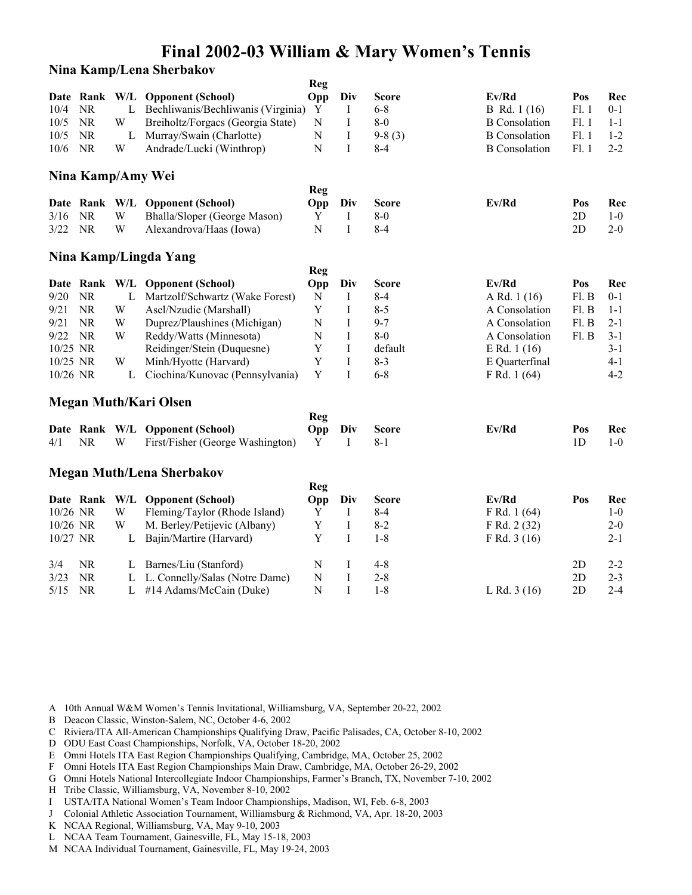### **Nina Kamp/Lena Sherbakov**

|          |           |   |                                    | <b>Reg</b> |              |              |                      |       |         |
|----------|-----------|---|------------------------------------|------------|--------------|--------------|----------------------|-------|---------|
|          |           |   | Date Rank W/L Opponent (School)    | Opp        | Div          | <b>Score</b> | Ev/Rd                | Pos   | Rec     |
| 10/4     | <b>NR</b> | L | Bechliwanis/Bechliwanis (Virginia) | Y          | Ι            | $6 - 8$      | B Rd. 1 (16)         | F1.1  | $0 - 1$ |
| 10/5     | <b>NR</b> | W | Breiholtz/Forgacs (Georgia State)  | N          | Ι            | $8-0$        | <b>B</b> Consolation | F1.1  | $1 - 1$ |
| 10/5     | NR        | L | Murray/Swain (Charlotte)           | N          | I            | $9-8(3)$     | <b>B</b> Consolation | F1.1  | $1 - 2$ |
| 10/6     | <b>NR</b> | W | Andrade/Lucki (Winthrop)           | N          | I            | $8 - 4$      | <b>B</b> Consolation | F1.1  | $2 - 2$ |
|          |           |   | Nina Kamp/Amy Wei                  |            |              |              |                      |       |         |
|          |           |   |                                    | Reg        |              |              |                      |       |         |
|          |           |   | Date Rank W/L Opponent (School)    | Opp        | Div          | <b>Score</b> | Ev/Rd                | Pos   | Rec     |
| 3/16     | <b>NR</b> | W | Bhalla/Sloper (George Mason)       | Y          | I            | $8-0$        |                      | 2D    | $1-0$   |
| 3/22     | <b>NR</b> | W | Alexandrova/Haas (Iowa)            | N          | I            | $8 - 4$      |                      | 2D    | $2 - 0$ |
|          |           |   | Nina Kamp/Lingda Yang              |            |              |              |                      |       |         |
|          |           |   |                                    | Reg        |              |              |                      |       |         |
|          |           |   | Date Rank W/L Opponent (School)    | Opp        | Div          | <b>Score</b> | Ev/Rd                | Pos   | Rec     |
| 9/20     | <b>NR</b> | L | Martzolf/Schwartz (Wake Forest)    | N          | Ι            | $8 - 4$      | A Rd. 1 (16)         | Fl. B | $0 - 1$ |
| 9/21     | <b>NR</b> | W | Asel/Nzudie (Marshall)             | Y          | I            | $8 - 5$      | A Consolation        | Fl. B | $1 - 1$ |
| 9/21     | <b>NR</b> | W | Duprez/Plaushines (Michigan)       | N          | I            | $9 - 7$      | A Consolation        | Fl. B | $2 - 1$ |
| 9/22     | <b>NR</b> | W | Reddy/Watts (Minnesota)            | N          | $\mathbf I$  | $8-0$        | A Consolation        | Fl. B | $3 - 1$ |
| 10/25 NR |           |   | Reidinger/Stein (Duquesne)         | Y          | I            | default      | E Rd. $1(16)$        |       | $3 - 1$ |
| 10/25 NR |           | W | Minh/Hyotte (Harvard)              | Y          | $\mathbf I$  | $8 - 3$      | E Quarterfinal       |       | $4 - 1$ |
| 10/26 NR |           | L | Ciochina/Kunovac (Pennsylvania)    | Y          | $\mathbf{I}$ | $6 - 8$      | F Rd. 1 (64)         |       | $4 - 2$ |
|          |           |   | <b>Megan Muth/Kari Olsen</b>       |            |              |              |                      |       |         |
|          |           |   |                                    | Reg        |              |              |                      |       |         |
|          |           |   | Date Rank W/L Opponent (School)    | Opp        | Div          | <b>Score</b> | Ev/Rd                | Pos   | Rec     |
| 4/1      | <b>NR</b> | W | First/Fisher (George Washington)   | Y          | I            | $8 - 1$      |                      | 1D    | $1-0$   |
|          |           |   | <b>Megan Muth/Lena Sherbakov</b>   |            |              |              |                      |       |         |
|          |           |   |                                    | Reg        |              |              |                      |       |         |
|          |           |   | Date Rank W/L Opponent (School)    | Opp        | Div          | <b>Score</b> | Ev/Rd                | Pos   | Rec     |
| 10/26 NR |           | W | Fleming/Taylor (Rhode Island)      | Y          | I            | $8 - 4$      | F Rd. 1 (64)         |       | $1-0$   |
| 10/26 NR |           | W | M. Berley/Petijevic (Albany)       | Y          | I            | $8 - 2$      | F Rd. 2 (32)         |       | $2 - 0$ |
| 10/27 NR |           | L | Bajin/Martire (Harvard)            | Y          | I            | $1 - 8$      | F Rd. 3 (16)         |       | $2 - 1$ |
| 3/4      | <b>NR</b> | L | Barnes/Liu (Stanford)              | N          | Ι            | $4 - 8$      |                      | 2D    | $2 - 2$ |
| 3/23     | <b>NR</b> | L | L. Connelly/Salas (Notre Dame)     | N          | $\bf I$      | $2 - 8$      |                      | 2D    | $2 - 3$ |
| 5/15     | <b>NR</b> | L | #14 Adams/McCain (Duke)            | N          | $\mathbf{I}$ | $1 - 8$      | L Rd. $3(16)$        | 2D    | $2 - 4$ |

- A 10th Annual W&M Women's Tennis Invitational, Williamsburg, VA, September 20-22, 2002
- B Deacon Classic, Winston-Salem, NC, October 4-6, 2002
- C Riviera/ITA All-American Championships Qualifying Draw, Pacific Palisades, CA, October 8-10, 2002
- D ODU East Coast Championships, Norfolk, VA, October 18-20, 2002
- E Omni Hotels ITA East Region Championships Qualifying, Cambridge, MA, October 25, 2002
- F Omni Hotels ITA East Region Championships Main Draw, Cambridge, MA, October 26-29, 2002
- G Omni Hotels National Intercollegiate Indoor Championships, Farmer's Branch, TX, November 7-10, 2002
- H Tribe Classic, Williamsburg, VA, November 8-10, 2002
- I USTA/ITA National Women's Team Indoor Championships, Madison, WI, Feb. 6-8, 2003
- J Colonial Athletic Association Tournament, Williamsburg & Richmond, VA, Apr. 18-20, 2003
- K NCAA Regional, Williamsburg, VA, May 9-10, 2003
- L NCAA Team Tournament, Gainesville, FL, May 15-18, 2003
- M NCAA Individual Tournament, Gainesville, FL, May 19-24, 2003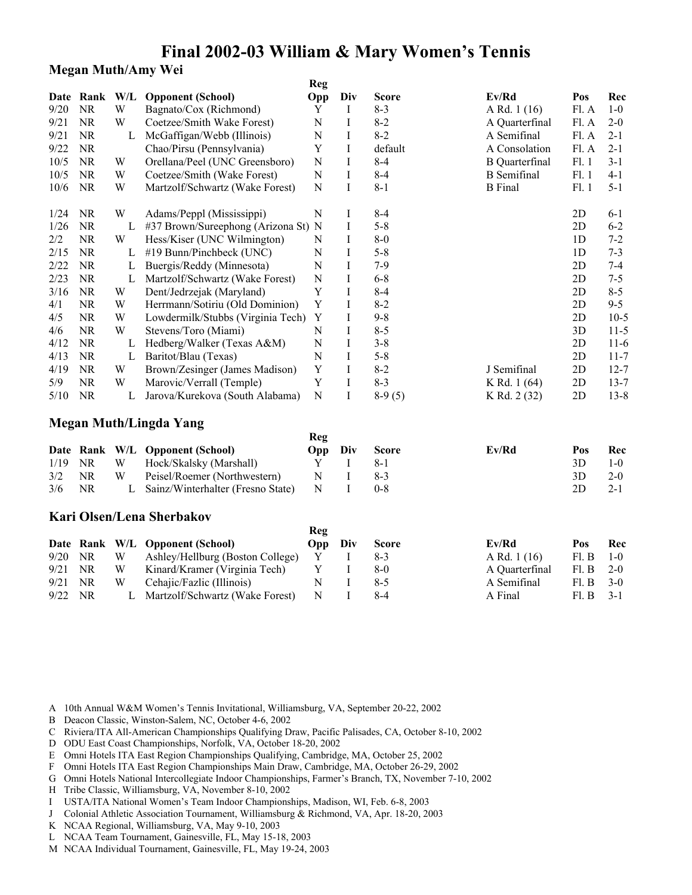## **Megan Muth/Amy Wei**

|      |           |     |                                     | Reg        |     |              |                       |                |          |
|------|-----------|-----|-------------------------------------|------------|-----|--------------|-----------------------|----------------|----------|
| Date | Rank      | W/L | <b>Opponent (School)</b>            | <b>Opp</b> | Div | <b>Score</b> | Ev/Rd                 | Pos            | Rec      |
| 9/20 | <b>NR</b> | W   | Bagnato/Cox (Richmond)              | Y          | Ι   | $8 - 3$      | A Rd. 1 (16)          | Fl. A          | $1-0$    |
| 9/21 | <b>NR</b> | W   | Coetzee/Smith Wake Forest)          | N          | Ι   | $8 - 2$      | A Quarterfinal        | Fl. A          | $2 - 0$  |
| 9/21 | <b>NR</b> | L   | McGaffigan/Webb (Illinois)          | N          | Ι   | $8 - 2$      | A Semifinal           | Fl. A          | $2 - 1$  |
| 9/22 | <b>NR</b> |     | Chao/Pirsu (Pennsylvania)           | Y          | I   | default      | A Consolation         | Fl. A          | $2 - 1$  |
| 10/5 | <b>NR</b> | W   | Orellana/Peel (UNC Greensboro)      | N          | Ι   | $8-4$        | <b>B</b> Quarterfinal | F1.1           | $3-1$    |
| 10/5 | <b>NR</b> | W   | Coetzee/Smith (Wake Forest)         | N          | Ι   | $8-4$        | <b>B</b> Semifinal    | F1.1           | $4 - 1$  |
| 10/6 | <b>NR</b> | W   | Martzolf/Schwartz (Wake Forest)     | N          | Ι   | 8-1          | <b>B</b> Final        | Fl.1           | $5 - 1$  |
| 1/24 | <b>NR</b> | W   | Adams/Peppl (Mississippi)           | N          | Ι   | $8-4$        |                       | 2D             | $6 - 1$  |
| 1/26 | <b>NR</b> | L   | #37 Brown/Sureephong (Arizona St) N |            | Ι   | $5 - 8$      |                       | 2D             | $6 - 2$  |
| 2/2  | NR.       | W   | Hess/Kiser (UNC Wilmington)         | N          | Ι   | $8-0$        |                       | 1 <sub>D</sub> | $7 - 2$  |
| 2/15 | <b>NR</b> | L   | #19 Bunn/Pinchbeck (UNC)            | N          | Ι   | $5 - 8$      |                       | 1 <sub>D</sub> | $7 - 3$  |
| 2/22 | NR.       | L   | Buergis/Reddy (Minnesota)           | N          | Ι   | $7-9$        |                       | 2D             | 7-4      |
| 2/23 | NR.       | L   | Martzolf/Schwartz (Wake Forest)     | N          | Ι   | $6 - 8$      |                       | 2D             | $7 - 5$  |
| 3/16 | NR.       | W   | Dent/Jedrzejak (Maryland)           | Y          |     | $8-4$        |                       | 2D             | $8 - 5$  |
| 4/1  | <b>NR</b> | W   | Herrmann/Sotiriu (Old Dominion)     | Y          |     | $8 - 2$      |                       | 2D             | $9 - 5$  |
| 4/5  | <b>NR</b> | W   | Lowdermilk/Stubbs (Virginia Tech)   | Y          |     | $9 - 8$      |                       | 2D             | $10-5$   |
| 4/6  | NR.       | W   | Stevens/Toro (Miami)                | N          | Ι   | $8 - 5$      |                       | 3D             | $11 - 5$ |
| 4/12 | NR        | L   | Hedberg/Walker (Texas A&M)          | N          |     | $3 - 8$      |                       | 2D             | $11-6$   |
| 4/13 | <b>NR</b> | L   | Baritot/Blau (Texas)                | N          | Ι   | $5 - 8$      |                       | 2D             | $11 - 7$ |
| 4/19 | <b>NR</b> | W   | Brown/Zesinger (James Madison)      | Y          |     | $8 - 2$      | J Semifinal           | 2D             | $12 - 7$ |
| 5/9  | <b>NR</b> | W   | Marovic/Verrall (Temple)            | Y          |     | $8-3$        | K Rd. 1 (64)          | 2D             | $13 - 7$ |
| 5/10 | <b>NR</b> | L   | Jarova/Kurekova (South Alabama)     | N          |     | $8-9(5)$     | K Rd. 2 (32)          | 2D             | $13 - 8$ |

### **Megan Muth/Lingda Yang**

|          |             |   |                                     | Reg         |              |       |     |         |
|----------|-------------|---|-------------------------------------|-------------|--------------|-------|-----|---------|
|          |             |   | Date Rank W/L Opponent (School)     | Opp Div     | <b>Score</b> | Ev/Rd | Pos | Rec     |
|          | $1/19$ NR W |   | Hock/Skalsky (Marshall)             |             | -8-T         |       | 3D. | $1 - 0$ |
| $3/2$ NR |             | W | Peisel/Roemer (Northwestern)        | $\mathbf N$ |              |       | 3D. | $2 - 0$ |
| 3/6      | NR.         |   | L Sainz/Winterhalter (Fresno State) | N           | $0 - 8$      |       | 2D. | $2 - 1$ |

### **Kari Olsen/Lena Sherbakov**

|           |             |   |                                   | Reg     |       |                |             |        |
|-----------|-------------|---|-----------------------------------|---------|-------|----------------|-------------|--------|
|           |             |   | Date Rank W/L Opponent (School)   | Opp Div | Score | Ev/Rd          | <b>Pos</b>  | Rec    |
|           | $9/20$ NR W |   | Ashley/Hellburg (Boston College)  |         |       | A Rd. 1 (16)   | FL B        | $1-0$  |
| $9/21$ NR |             | W | Kinard/Kramer (Virginia Tech)     |         | $8-0$ | A Quarterfinal | $F1. B$ 2-0 |        |
| 9/21      | NR          | W | Cehajic/Fazlic (Illinois)         |         | $8-5$ | A Semifinal    | $FL B$ 3-0  |        |
| 9/22      | NR.         |   | L Martzolf/Schwartz (Wake Forest) | N       |       | A Final        | FI B        | $-3-1$ |

- A 10th Annual W&M Women's Tennis Invitational, Williamsburg, VA, September 20-22, 2002
- B Deacon Classic, Winston-Salem, NC, October 4-6, 2002
- C Riviera/ITA All-American Championships Qualifying Draw, Pacific Palisades, CA, October 8-10, 2002
- D ODU East Coast Championships, Norfolk, VA, October 18-20, 2002
- E Omni Hotels ITA East Region Championships Qualifying, Cambridge, MA, October 25, 2002
- F Omni Hotels ITA East Region Championships Main Draw, Cambridge, MA, October 26-29, 2002
- G Omni Hotels National Intercollegiate Indoor Championships, Farmer's Branch, TX, November 7-10, 2002
- H Tribe Classic, Williamsburg, VA, November 8-10, 2002
- I USTA/ITA National Women's Team Indoor Championships, Madison, WI, Feb. 6-8, 2003
- J Colonial Athletic Association Tournament, Williamsburg & Richmond, VA, Apr. 18-20, 2003
- K NCAA Regional, Williamsburg, VA, May 9-10, 2003
- L NCAA Team Tournament, Gainesville, FL, May 15-18, 2003
- M NCAA Individual Tournament, Gainesville, FL, May 19-24, 2003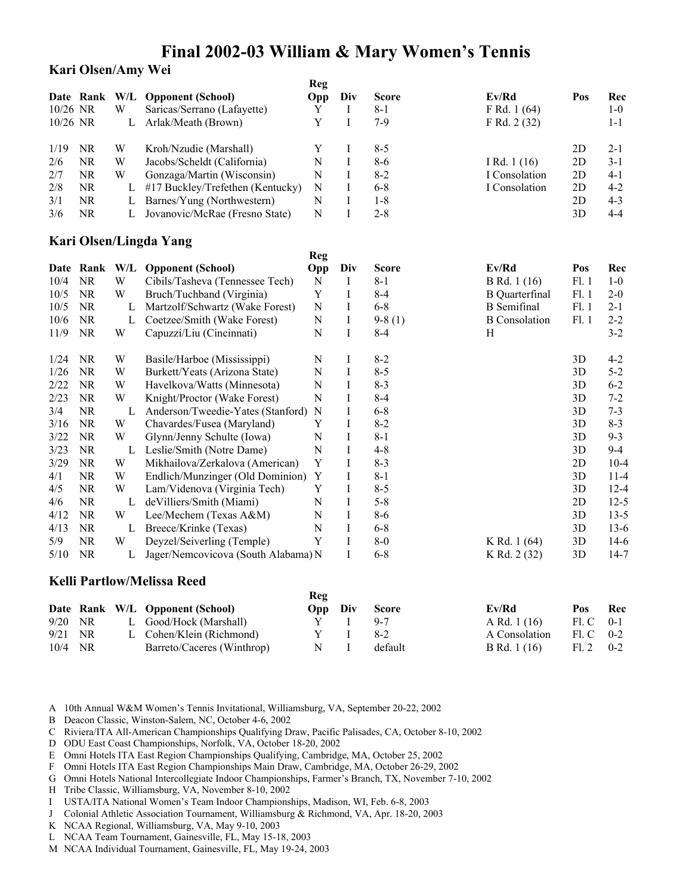### **Kari Olsen/Amy Wei**

|          | Date Rank W/L |   | <b>Opponent (School)</b>            | Reg<br>Opp  | Div     | <b>Score</b> | Ev/Rd                 | Pos  | Rec      |
|----------|---------------|---|-------------------------------------|-------------|---------|--------------|-----------------------|------|----------|
| 10/26 NR |               | W | Saricas/Serrano (Lafayette)         | Y           | Ι       | $8 - 1$      | F Rd. 1 (64)          |      | $1-0$    |
| 10/26 NR |               | L | Arlak/Meath (Brown)                 | Y           | I       | $7-9$        | F Rd. 2 (32)          |      | $1 - 1$  |
| 1/19     | <b>NR</b>     | W | Kroh/Nzudie (Marshall)              | Y           | Ι       | $8 - 5$      |                       | 2D   | $2 - 1$  |
| 2/6      | <b>NR</b>     | W | Jacobs/Scheldt (California)         | $\mathbf N$ | I       | $8 - 6$      | I Rd. 1 (16)          | 2D   | $3 - 1$  |
| 2/7      | <b>NR</b>     | W | Gonzaga/Martin (Wisconsin)          | N           | I       | $8 - 2$      | I Consolation         | 2D   | $4 - 1$  |
| 2/8      | NR.           | L | #17 Buckley/Trefethen (Kentucky)    | N           | I       | $6 - 8$      | I Consolation         | 2D   | $4 - 2$  |
| 3/1      | <b>NR</b>     | L | Barnes/Yung (Northwestern)          | N           | I       | $1 - 8$      |                       | 2D   | $4 - 3$  |
| 3/6      | <b>NR</b>     | L | Jovanovic/McRae (Fresno State)      | N           | $\bf I$ | $2 - 8$      |                       | 3D   | $4 - 4$  |
|          |               |   | Kari Olsen/Lingda Yang              |             |         |              |                       |      |          |
|          |               |   |                                     | Reg         |         |              |                       |      |          |
|          | Date Rank W/L |   | <b>Opponent</b> (School)            | Opp         | Div     | <b>Score</b> | Ev/Rd                 | Pos  | Rec      |
| 10/4     | <b>NR</b>     | W | Cibils/Tasheva (Tennessee Tech)     | N           | Ι       | $8 - 1$      | B Rd. 1 (16)          | F1.1 | $1-0$    |
| 10/5     | <b>NR</b>     | W | Bruch/Tuchband (Virginia)           | Y           | I       | $8 - 4$      | <b>B</b> Quarterfinal | F1.1 | $2 - 0$  |
| 10/5     | <b>NR</b>     | L | Martzolf/Schwartz (Wake Forest)     | N           | I       | $6 - 8$      | <b>B</b> Semifinal    | F1.1 | $2 - 1$  |
| 10/6     | <b>NR</b>     | L | Coetzee/Smith (Wake Forest)         | N           | I       | $9-8(1)$     | <b>B</b> Consolation  | F1.1 | $2 - 2$  |
| 11/9     | <b>NR</b>     | W | Capuzzi/Liu (Cincinnati)            | N           | Ι       | $8 - 4$      | H                     |      | $3 - 2$  |
| 1/24     | <b>NR</b>     | W | Basile/Harboe (Mississippi)         | N           | Ι       | $8 - 2$      |                       | 3D   | $4 - 2$  |
| 1/26     | <b>NR</b>     | W | Burkett/Yeats (Arizona State)       | N           | I       | $8 - 5$      |                       | 3D   | $5 - 2$  |
| 2/22     | <b>NR</b>     | W | Havelkova/Watts (Minnesota)         | N           | Ι       | $8 - 3$      |                       | 3D   | $6 - 2$  |
| 2/23     | <b>NR</b>     | W | Knight/Proctor (Wake Forest)        | N           | I       | $8 - 4$      |                       | 3D   | $7 - 2$  |
| 3/4      | <b>NR</b>     | L | Anderson/Tweedie-Yates (Stanford)   | N           | I       | $6 - 8$      |                       | 3D   | $7 - 3$  |
| 3/16     | <b>NR</b>     | W | Chavardes/Fusea (Maryland)          | Y           | I       | $8 - 2$      |                       | 3D   | $8 - 3$  |
| 3/22     | <b>NR</b>     | W | Glynn/Jenny Schulte (Iowa)          | N           | I       | $8 - 1$      |                       | 3D   | $9 - 3$  |
| 3/23     | <b>NR</b>     | L | Leslie/Smith (Notre Dame)           | N           | $\rm I$ | $4 - 8$      |                       | 3D   | $9 - 4$  |
| 3/29     | <b>NR</b>     | W | Mikhailova/Zerkalova (American)     | Y           | I       | $8 - 3$      |                       | 2D   | $10 - 4$ |
| 4/1      | <b>NR</b>     | W | Endlich/Munzinger (Old Dominion)    | Y           | I       | $8 - 1$      |                       | 3D   | $11-4$   |
| 4/5      | <b>NR</b>     | W | Lam/Videnova (Virginia Tech)        | Y           | I       | $8 - 5$      |                       | 3D   | $12 - 4$ |
| 4/6      | <b>NR</b>     | L | deVilliers/Smith (Miami)            | N           | I       | $5 - 8$      |                       | 2D   | $12 - 5$ |
| 4/12     | NR            | W | Lee/Mechem (Texas A&M)              | N           | I       | $8 - 6$      |                       | 3D   | $13 - 5$ |
| 4/13     | <b>NR</b>     | L | Breece/Krinke (Texas)               | N           | I       | $6 - 8$      |                       | 3D   | $13-6$   |
| 5/9      | <b>NR</b>     | W | Deyzel/Seiverling (Temple)          | Y           | I       | $8-0$        | K Rd. 1 (64)          | 3D   | $14-6$   |
| 5/10     | <b>NR</b>     | L | Jager/Nemcovicova (South Alabama) N |             | I       | $6 - 8$      | K Rd. 2 (32)          | 3D   | $14-7$   |

### **Kelli Partlow/Melissa Reed**

|           |    |                                 | Reg     |              |               |                   |  |
|-----------|----|---------------------------------|---------|--------------|---------------|-------------------|--|
|           |    | Date Rank W/L Opponent (School) | Opp Div | <b>Score</b> | Ev/Rd         | Pos Rec           |  |
| $9/20$ NR |    | L Good/Hock (Marshall)          |         | $9 - 7$      | A Rd. 1 (16)  | $F1. C \quad 0-1$ |  |
| 9/21      | NR | L Cohen/Klein (Richmond)        |         | 8-2          | A Consolation | $F1. C 0-2$       |  |
| 10/4      | NR | Barreto/Caceres (Winthrop)      | N.      | default      | B Rd. 1 (16)  | $F1.2$ 0-2        |  |

A 10th Annual W&M Women's Tennis Invitational, Williamsburg, VA, September 20-22, 2002

B Deacon Classic, Winston-Salem, NC, October 4-6, 2002

C Riviera/ITA All-American Championships Qualifying Draw, Pacific Palisades, CA, October 8-10, 2002

- D ODU East Coast Championships, Norfolk, VA, October 18-20, 2002
- E Omni Hotels ITA East Region Championships Qualifying, Cambridge, MA, October 25, 2002
- F Omni Hotels ITA East Region Championships Main Draw, Cambridge, MA, October 26-29, 2002
- G Omni Hotels National Intercollegiate Indoor Championships, Farmer's Branch, TX, November 7-10, 2002
- H Tribe Classic, Williamsburg, VA, November 8-10, 2002
- I USTA/ITA National Women's Team Indoor Championships, Madison, WI, Feb. 6-8, 2003
- J Colonial Athletic Association Tournament, Williamsburg & Richmond, VA, Apr. 18-20, 2003
- K NCAA Regional, Williamsburg, VA, May 9-10, 2003
- L NCAA Team Tournament, Gainesville, FL, May 15-18, 2003
- M NCAA Individual Tournament, Gainesville, FL, May 19-24, 2003